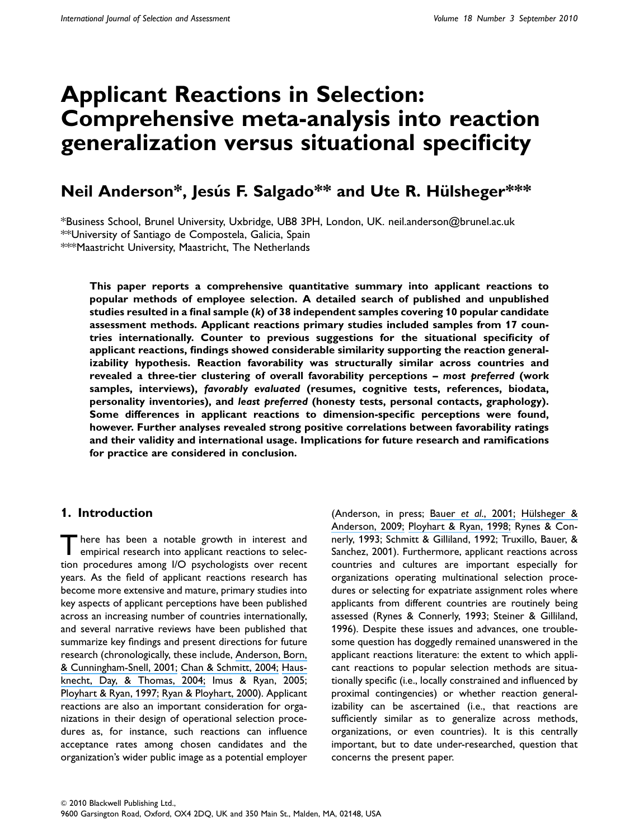# Applicant Reactions in Selection: Comprehensive meta-analysis into reaction generalization versus situational specificity

# Neil Anderson\*, Jesus F. Salgado\*\* and Ute R. Hülsheger\*\*\*

\*Business School, Brunel University, Uxbridge, UB8 3PH, London, UK. [neil.anderson@brunel.ac.uk](mailto:neil.anderson@brunel.ac.uk) [\\*\\*University of Santiago de Compostela, Galicia, Spain](mailto:neil.anderson@brunel.ac.uk) [\\*\\*\\*Maastricht University, Maastricht, The Netherlands](mailto:neil.anderson@brunel.ac.uk)

This paper reports a comprehensive quantitative summary into applicant reactions to popular methods of employee selection. A detailed search of published and unpublished studies resulted in a final sample (k) of 38 independent samples covering 10 popular candidate assessment methods. Applicant reactions primary studies included samples from 17 countries internationally. Counter to previous suggestions for the situational specificity of applicant reactions, findings showed considerable similarity supporting the reaction generalizability hypothesis. Reaction favorability was structurally similar across countries and revealed a three-tier clustering of overall favorability perceptions – most preferred (work samples, interviews), favorably evaluated (resumes, cognitive tests, references, biodata, personality inventories), and least preferred (honesty tests, personal contacts, graphology). Some differences in applicant reactions to dimension-specific perceptions were found, however. Further analyses revealed strong positive correlations between favorability ratings and their validity and international usage. Implications for future research and ramifications for practice are considered in conclusion.

# 1. Introduction

There has been a notable growth in interest and<br>
empirical research into applicant reactions to selection procedures among I/O psychologists over recent years. As the field of applicant reactions research has become more extensive and mature, primary studies into key aspects of applicant perceptions have been published across an increasing number of countries internationally, and several narrative reviews have been published that summarize key findings and present directions for future research (chronologically, these include, [Anderson, Born,](https://www.researchgate.net/publication/232430958_Recruitment_and_selection_Applicant_perspectives_and_outcomes?el=1_x_8&enrichId=rgreq-7b1d9e1b-cf89-44a1-973a-8d50716e7921&enrichSource=Y292ZXJQYWdlOzIyODI1Mzk2ODtBUzo5ODU5OTkyOTEyMjgzOUAxNDAwNTE5NDYzODcw) [& Cunningham-Snell, 2001;](https://www.researchgate.net/publication/232430958_Recruitment_and_selection_Applicant_perspectives_and_outcomes?el=1_x_8&enrichId=rgreq-7b1d9e1b-cf89-44a1-973a-8d50716e7921&enrichSource=Y292ZXJQYWdlOzIyODI1Mzk2ODtBUzo5ODU5OTkyOTEyMjgzOUAxNDAwNTE5NDYzODcw) [Chan & Schmitt, 2004;](https://www.researchgate.net/publication/228254185_An_Agenda_for_Future_Research_on_Applicant_Reactions_to_Selection_Procedures_A_Construct-Oriented_Approach?el=1_x_8&enrichId=rgreq-7b1d9e1b-cf89-44a1-973a-8d50716e7921&enrichSource=Y292ZXJQYWdlOzIyODI1Mzk2ODtBUzo5ODU5OTkyOTEyMjgzOUAxNDAwNTE5NDYzODcw) [Haus](https://www.researchgate.net/publication/37150348_Applicant_Reactions_to_Selection_Procedures_An_Updated_Model_and_Meta-Analysis?el=1_x_8&enrichId=rgreq-7b1d9e1b-cf89-44a1-973a-8d50716e7921&enrichSource=Y292ZXJQYWdlOzIyODI1Mzk2ODtBUzo5ODU5OTkyOTEyMjgzOUAxNDAwNTE5NDYzODcw)[knecht, Day, & Thomas, 2004;](https://www.researchgate.net/publication/37150348_Applicant_Reactions_to_Selection_Procedures_An_Updated_Model_and_Meta-Analysis?el=1_x_8&enrichId=rgreq-7b1d9e1b-cf89-44a1-973a-8d50716e7921&enrichSource=Y292ZXJQYWdlOzIyODI1Mzk2ODtBUzo5ODU5OTkyOTEyMjgzOUAxNDAwNTE5NDYzODcw) Imus & Ryan, 2005; [Ployhart & Ryan, 1997;](https://www.researchgate.net/publication/223104633_Toward_an_Explanation_of_Applicant_Reactions_An_Examination_of_Organizational_Justice_and_Attribution_Frameworks?el=1_x_8&enrichId=rgreq-7b1d9e1b-cf89-44a1-973a-8d50716e7921&enrichSource=Y292ZXJQYWdlOzIyODI1Mzk2ODtBUzo5ODU5OTkyOTEyMjgzOUAxNDAwNTE5NDYzODcw) [Ryan & Ployhart, 2000](https://www.researchgate.net/publication/247569997_Applicants)). Applicant reactions are also an important consideration for organizations in their design of operational selection procedures as, for instance, such reactions can influence acceptance rates among chosen candidates and the organization's wider public image as a potential employer

(Anderson, in press; Bauer et al[., 2001;](https://www.researchgate.net/publication/294687158_Applicant_reactions_to_selection_Development_of_the_selection_procedural_scale_SPJS?el=1_x_8&enrichId=rgreq-7b1d9e1b-cf89-44a1-973a-8d50716e7921&enrichSource=Y292ZXJQYWdlOzIyODI1Mzk2ODtBUzo5ODU5OTkyOTEyMjgzOUAxNDAwNTE5NDYzODcw) Hülsheger & [Anderson, 2009;](https://www.researchgate.net/publication/227937034_Applicant_Perspectives_in_Selection_Going_beyond_preference_reactions?el=1_x_8&enrichId=rgreq-7b1d9e1b-cf89-44a1-973a-8d50716e7921&enrichSource=Y292ZXJQYWdlOzIyODI1Mzk2ODtBUzo5ODU5OTkyOTEyMjgzOUAxNDAwNTE5NDYzODcw) [Ployhart & Ryan, 1998;](https://www.researchgate.net/publication/292368103_Applicants) Rynes & Connerly, 1993; Schmitt & Gilliland, 1992; Truxillo, Bauer, & Sanchez, 2001). Furthermore, applicant reactions across countries and cultures are important especially for organizations operating multinational selection procedures or selecting for expatriate assignment roles where applicants from different countries are routinely being assessed (Rynes & Connerly, 1993; Steiner & Gilliland, 1996). Despite these issues and advances, one troublesome question has doggedly remained unanswered in the applicant reactions literature: the extent to which applicant reactions to popular selection methods are situationally specific (i.e., locally constrained and influenced by proximal contingencies) or whether reaction generalizability can be ascertained (i.e., that reactions are sufficiently similar as to generalize across methods, organizations, or even countries). It is this centrally important, but to date under-researched, question that concerns the present paper.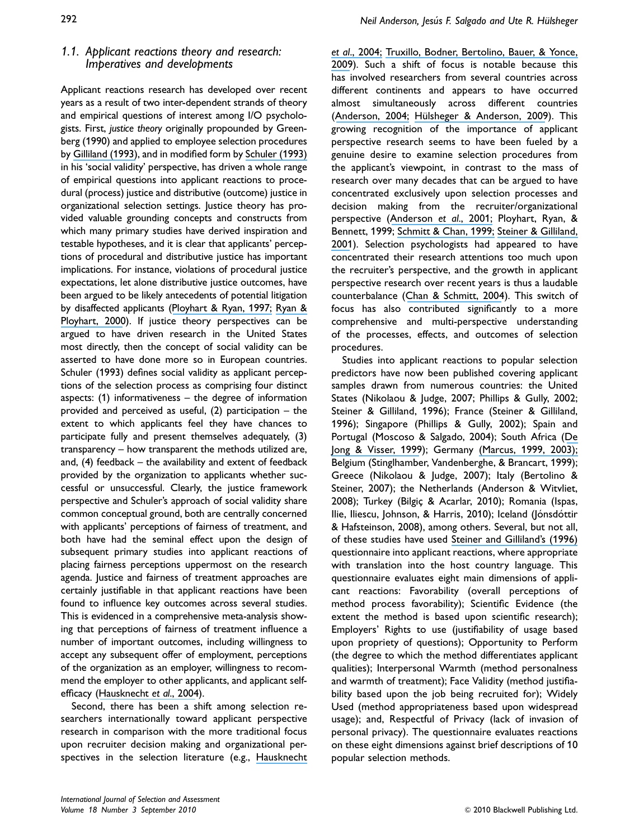Applicant reactions research has developed over recent years as a result of two inter-dependent strands of theory and empirical questions of interest among I/O psychologists. First, justice theory originally propounded by Greenberg (1990) and applied to employee selection procedures by [Gilliland \(1993\)](https://www.researchgate.net/publication/35305194_The_Perceived_Fairness_of_Selection_Systems_An_Organizational_Justice_Perspective?el=1_x_8&enrichId=rgreq-7b1d9e1b-cf89-44a1-973a-8d50716e7921&enrichSource=Y292ZXJQYWdlOzIyODI1Mzk2ODtBUzo5ODU5OTkyOTEyMjgzOUAxNDAwNTE5NDYzODcw), and in modified form by [Schuler \(1993\)](https://www.researchgate.net/publication/232557363_Social_validity_of_selection_situations_A_concept_and_some_empirical_results?el=1_x_8&enrichId=rgreq-7b1d9e1b-cf89-44a1-973a-8d50716e7921&enrichSource=Y292ZXJQYWdlOzIyODI1Mzk2ODtBUzo5ODU5OTkyOTEyMjgzOUAxNDAwNTE5NDYzODcw) in his 'social validity' perspective, has driven a whole range of empirical questions into applicant reactions to procedural (process) justice and distributive (outcome) justice in organizational selection settings. Justice theory has provided valuable grounding concepts and constructs from which many primary studies have derived inspiration and testable hypotheses, and it is clear that applicants' perceptions of procedural and distributive justice has important implications. For instance, violations of procedural justice expectations, let alone distributive justice outcomes, have been argued to be likely antecedents of potential litigation by disaffected applicants ([Ployhart & Ryan, 1997;](https://www.researchgate.net/publication/223104633_Toward_an_Explanation_of_Applicant_Reactions_An_Examination_of_Organizational_Justice_and_Attribution_Frameworks?el=1_x_8&enrichId=rgreq-7b1d9e1b-cf89-44a1-973a-8d50716e7921&enrichSource=Y292ZXJQYWdlOzIyODI1Mzk2ODtBUzo5ODU5OTkyOTEyMjgzOUAxNDAwNTE5NDYzODcw) [Ryan &](https://www.researchgate.net/publication/247569997_Applicants) [Ployhart, 2000](https://www.researchgate.net/publication/247569997_Applicants)). If justice theory perspectives can be argued to have driven research in the United States most directly, then the concept of social validity can be asserted to have done more so in European countries. Schuler (1993) defines social validity as applicant perceptions of the selection process as comprising four distinct aspects:  $(1)$  informativeness – the degree of information provided and perceived as useful,  $(2)$  participation – the extent to which applicants feel they have chances to participate fully and present themselves adequately, (3) transparency – how transparent the methods utilized are, and,  $(4)$  feedback – the availability and extent of feedback provided by the organization to applicants whether successful or unsuccessful. Clearly, the justice framework perspective and Schuler's approach of social validity share common conceptual ground, both are centrally concerned with applicants' perceptions of fairness of treatment, and both have had the seminal effect upon the design of subsequent primary studies into applicant reactions of placing fairness perceptions uppermost on the research agenda. Justice and fairness of treatment approaches are certainly justifiable in that applicant reactions have been found to influence key outcomes across several studies. This is evidenced in a comprehensive meta-analysis showing that perceptions of fairness of treatment influence a number of important outcomes, including willingness to accept any subsequent offer of employment, perceptions of the organization as an employer, willingness to recommend the employer to other applicants, and applicant selfefficacy ([Hausknecht](https://www.researchgate.net/publication/37150348_Applicant_Reactions_to_Selection_Procedures_An_Updated_Model_and_Meta-Analysis?el=1_x_8&enrichId=rgreq-7b1d9e1b-cf89-44a1-973a-8d50716e7921&enrichSource=Y292ZXJQYWdlOzIyODI1Mzk2ODtBUzo5ODU5OTkyOTEyMjgzOUAxNDAwNTE5NDYzODcw) et al., 2004).

Second, there has been a shift among selection researchers internationally toward applicant perspective research in comparison with the more traditional focus upon recruiter decision making and organizational perspectives in the selection literature (e.g., [Hausknecht](https://www.researchgate.net/publication/37150348_Applicant_Reactions_to_Selection_Procedures_An_Updated_Model_and_Meta-Analysis?el=1_x_8&enrichId=rgreq-7b1d9e1b-cf89-44a1-973a-8d50716e7921&enrichSource=Y292ZXJQYWdlOzIyODI1Mzk2ODtBUzo5ODU5OTkyOTEyMjgzOUAxNDAwNTE5NDYzODcw)

et al[., 2004;](https://www.researchgate.net/publication/37150348_Applicant_Reactions_to_Selection_Procedures_An_Updated_Model_and_Meta-Analysis?el=1_x_8&enrichId=rgreq-7b1d9e1b-cf89-44a1-973a-8d50716e7921&enrichSource=Y292ZXJQYWdlOzIyODI1Mzk2ODtBUzo5ODU5OTkyOTEyMjgzOUAxNDAwNTE5NDYzODcw) [Truxillo, Bodner, Bertolino, Bauer, & Yonce,](https://www.researchgate.net/publication/228253937_Effects_of_Explanations_on_Applicant_Reactions_A_Meta-Analytic_Review?el=1_x_8&enrichId=rgreq-7b1d9e1b-cf89-44a1-973a-8d50716e7921&enrichSource=Y292ZXJQYWdlOzIyODI1Mzk2ODtBUzo5ODU5OTkyOTEyMjgzOUAxNDAwNTE5NDYzODcw) [2009](https://www.researchgate.net/publication/228253937_Effects_of_Explanations_on_Applicant_Reactions_A_Meta-Analytic_Review?el=1_x_8&enrichId=rgreq-7b1d9e1b-cf89-44a1-973a-8d50716e7921&enrichSource=Y292ZXJQYWdlOzIyODI1Mzk2ODtBUzo5ODU5OTkyOTEyMjgzOUAxNDAwNTE5NDYzODcw)). Such a shift of focus is notable because this has involved researchers from several countries across different continents and appears to have occurred almost simultaneously across different countries ([Anderson, 2004;](https://www.researchgate.net/publication/228254195_Editorial_-_The_Dark_Side_of_the_Moon_Applicant_Perspectives_Negative_Psychological_Effects_NPEs_and_Candidate_Decision_Making_in_Selection?el=1_x_8&enrichId=rgreq-7b1d9e1b-cf89-44a1-973a-8d50716e7921&enrichSource=Y292ZXJQYWdlOzIyODI1Mzk2ODtBUzo5ODU5OTkyOTEyMjgzOUAxNDAwNTE5NDYzODcw) Hülsheger & Anderson, 2009). This growing recognition of the importance of applicant perspective research seems to have been fueled by a genuine desire to examine selection procedures from the applicant's viewpoint, in contrast to the mass of research over many decades that can be argued to have concentrated exclusively upon selection processes and decision making from the recruiter/organizational perspective ([Anderson](https://www.researchgate.net/publication/232430958_Recruitment_and_selection_Applicant_perspectives_and_outcomes?el=1_x_8&enrichId=rgreq-7b1d9e1b-cf89-44a1-973a-8d50716e7921&enrichSource=Y292ZXJQYWdlOzIyODI1Mzk2ODtBUzo5ODU5OTkyOTEyMjgzOUAxNDAwNTE5NDYzODcw) et al., 2001; Ployhart, Ryan, & Bennett, 1999; [Schmitt & Chan, 1999;](https://www.researchgate.net/publication/229787731_The_Status_of_Research_on_Applicant_Reactions_to_Selection_Tests_and_Its_Implications_for_Managers?el=1_x_8&enrichId=rgreq-7b1d9e1b-cf89-44a1-973a-8d50716e7921&enrichSource=Y292ZXJQYWdlOzIyODI1Mzk2ODtBUzo5ODU5OTkyOTEyMjgzOUAxNDAwNTE5NDYzODcw) [Steiner & Gilliland,](https://www.researchgate.net/publication/229642756_Procedural_Justice_in_Personnel_Selection_International_and_Cross-Cultural_Perspectives?el=1_x_8&enrichId=rgreq-7b1d9e1b-cf89-44a1-973a-8d50716e7921&enrichSource=Y292ZXJQYWdlOzIyODI1Mzk2ODtBUzo5ODU5OTkyOTEyMjgzOUAxNDAwNTE5NDYzODcw) [2001](https://www.researchgate.net/publication/229642756_Procedural_Justice_in_Personnel_Selection_International_and_Cross-Cultural_Perspectives?el=1_x_8&enrichId=rgreq-7b1d9e1b-cf89-44a1-973a-8d50716e7921&enrichSource=Y292ZXJQYWdlOzIyODI1Mzk2ODtBUzo5ODU5OTkyOTEyMjgzOUAxNDAwNTE5NDYzODcw)). Selection psychologists had appeared to have concentrated their research attentions too much upon the recruiter's perspective, and the growth in applicant perspective research over recent years is thus a laudable counterbalance ([Chan & Schmitt, 2004](https://www.researchgate.net/publication/228254185_An_Agenda_for_Future_Research_on_Applicant_Reactions_to_Selection_Procedures_A_Construct-Oriented_Approach?el=1_x_8&enrichId=rgreq-7b1d9e1b-cf89-44a1-973a-8d50716e7921&enrichSource=Y292ZXJQYWdlOzIyODI1Mzk2ODtBUzo5ODU5OTkyOTEyMjgzOUAxNDAwNTE5NDYzODcw)). This switch of focus has also contributed significantly to a more comprehensive and multi-perspective understanding of the processes, effects, and outcomes of selection procedures.

Studies into applicant reactions to popular selection predictors have now been published covering applicant samples drawn from numerous countries: the United States (Nikolaou & Judge, 2007; Phillips & Gully, 2002; Steiner & Gilliland, 1996); France (Steiner & Gilliland, 1996); Singapore (Phillips & Gully, 2002); Spain and Portugal (Moscoso & Salgado, 2004); South Africa ([De](https://www.researchgate.net/publication/258184959_Black_and_White_Employees) [Jong & Visser, 1999](https://www.researchgate.net/publication/258184959_Black_and_White_Employees)); Germany [\(Marcus, 1999, 2003\);](https://www.researchgate.net/publication/229656366_Attitudes_Towards_Personnel_Selection_Methods_A_Partial_Replication_and_Extension_in_a_German_Sample?el=1_x_8&enrichId=rgreq-7b1d9e1b-cf89-44a1-973a-8d50716e7921&enrichSource=Y292ZXJQYWdlOzIyODI1Mzk2ODtBUzo5ODU5OTkyOTEyMjgzOUAxNDAwNTE5NDYzODcw) Belgium (Stinglhamber, Vandenberghe, & Brancart, 1999); Greece (Nikolaou & Judge, 2007); Italy (Bertolino & Steiner, 2007); the Netherlands (Anderson & Witvliet, 2008); Turkey (Bilgiç & Acarlar, 2010); Romania (Ispas, Ilie, Iliescu, Johnson, & Harris, 2010); Iceland (Jónsdóttir & Hafsteinson, 2008), among others. Several, but not all, of these studies have used [Steiner and Gilliland's \(1996\)](https://www.researchgate.net/publication/232599605_Fairness_Reactions_to_Personnel_Selection_Techniques_in_France_and_United_States?el=1_x_8&enrichId=rgreq-7b1d9e1b-cf89-44a1-973a-8d50716e7921&enrichSource=Y292ZXJQYWdlOzIyODI1Mzk2ODtBUzo5ODU5OTkyOTEyMjgzOUAxNDAwNTE5NDYzODcw) questionnaire into applicant reactions, where appropriate with translation into the host country language. This questionnaire evaluates eight main dimensions of applicant reactions: Favorability (overall perceptions of method process favorability); Scientific Evidence (the extent the method is based upon scientific research); Employers' Rights to use (justifiability of usage based upon propriety of questions); Opportunity to Perform (the degree to which the method differentiates applicant qualities); Interpersonal Warmth (method personalness and warmth of treatment); Face Validity (method justifiability based upon the job being recruited for); Widely Used (method appropriateness based upon widespread usage); and, Respectful of Privacy (lack of invasion of personal privacy). The questionnaire evaluates reactions on these eight dimensions against brief descriptions of 10 popular selection methods.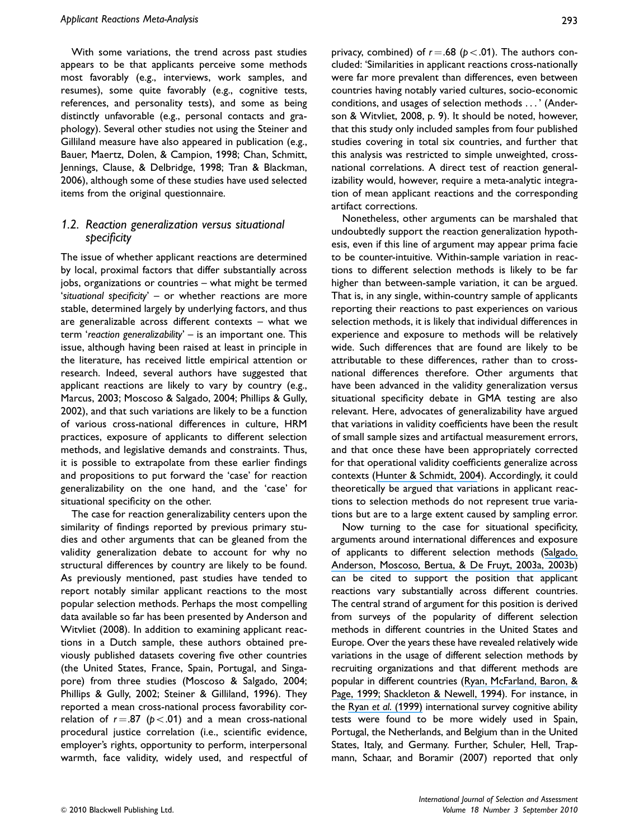With some variations, the trend across past studies appears to be that applicants perceive some methods most favorably (e.g., interviews, work samples, and resumes), some quite favorably (e.g., cognitive tests, references, and personality tests), and some as being distinctly unfavorable (e.g., personal contacts and graphology). Several other studies not using the Steiner and Gilliland measure have also appeared in publication (e.g., Bauer, Maertz, Dolen, & Campion, 1998; Chan, Schmitt, Jennings, Clause, & Delbridge, 1998; Tran & Blackman, 2006), although some of these studies have used selected items from the original questionnaire.

#### 1.2. Reaction generalization versus situational specificity

The issue of whether applicant reactions are determined by local, proximal factors that differ substantially across jobs, organizations or countries – what might be termed 'situational specificity' – or whether reactions are more stable, determined largely by underlying factors, and thus are generalizable across different contexts – what we term 'reaction generalizability' – is an important one. This issue, although having been raised at least in principle in the literature, has received little empirical attention or research. Indeed, several authors have suggested that applicant reactions are likely to vary by country (e.g., Marcus, 2003; Moscoso & Salgado, 2004; Phillips & Gully, 2002), and that such variations are likely to be a function of various cross-national differences in culture, HRM practices, exposure of applicants to different selection methods, and legislative demands and constraints. Thus, it is possible to extrapolate from these earlier findings and propositions to put forward the 'case' for reaction generalizability on the one hand, and the 'case' for situational specificity on the other.

The case for reaction generalizability centers upon the similarity of findings reported by previous primary studies and other arguments that can be gleaned from the validity generalization debate to account for why no structural differences by country are likely to be found. As previously mentioned, past studies have tended to report notably similar applicant reactions to the most popular selection methods. Perhaps the most compelling data available so far has been presented by Anderson and Witvliet (2008). In addition to examining applicant reactions in a Dutch sample, these authors obtained previously published datasets covering five other countries (the United States, France, Spain, Portugal, and Singapore) from three studies (Moscoso & Salgado, 2004; Phillips & Gully, 2002; Steiner & Gilliland, 1996). They reported a mean cross-national process favorability correlation of  $r = .87$  ( $p < .01$ ) and a mean cross-national procedural justice correlation (i.e., scientific evidence, employer's rights, opportunity to perform, interpersonal warmth, face validity, widely used, and respectful of privacy, combined) of  $r = .68$  ( $p < .01$ ). The authors concluded: 'Similarities in applicant reactions cross-nationally were far more prevalent than differences, even between countries having notably varied cultures, socio-economic conditions, and usages of selection methods . . . ' (Anderson & Witvliet, 2008, p. 9). It should be noted, however, that this study only included samples from four published studies covering in total six countries, and further that this analysis was restricted to simple unweighted, crossnational correlations. A direct test of reaction generalizability would, however, require a meta-analytic integration of mean applicant reactions and the corresponding artifact corrections.

Nonetheless, other arguments can be marshaled that undoubtedly support the reaction generalization hypothesis, even if this line of argument may appear prima facie to be counter-intuitive. Within-sample variation in reactions to different selection methods is likely to be far higher than between-sample variation, it can be argued. That is, in any single, within-country sample of applicants reporting their reactions to past experiences on various selection methods, it is likely that individual differences in experience and exposure to methods will be relatively wide. Such differences that are found are likely to be attributable to these differences, rather than to crossnational differences therefore. Other arguments that have been advanced in the validity generalization versus situational specificity debate in GMA testing are also relevant. Here, advocates of generalizability have argued that variations in validity coefficients have been the result of small sample sizes and artifactual measurement errors, and that once these have been appropriately corrected for that operational validity coefficients generalize across contexts ([Hunter & Schmidt, 2004](https://www.researchgate.net/publication/235726244_Methods_of_Meta-Analysis_Corrected_Error_and_Bias_in_Research_Findings?el=1_x_8&enrichId=rgreq-7b1d9e1b-cf89-44a1-973a-8d50716e7921&enrichSource=Y292ZXJQYWdlOzIyODI1Mzk2ODtBUzo5ODU5OTkyOTEyMjgzOUAxNDAwNTE5NDYzODcw)). Accordingly, it could theoretically be argued that variations in applicant reactions to selection methods do not represent true variations but are to a large extent caused by sampling error.

Now turning to the case for situational specificity, arguments around international differences and exposure of applicants to different selection methods ([Salgado,](https://www.researchgate.net/publication/294292237_International_validity_generalization_of_GMA_and_cognitive_abilities_A_European_community_meta-analysis?el=1_x_8&enrichId=rgreq-7b1d9e1b-cf89-44a1-973a-8d50716e7921&enrichSource=Y292ZXJQYWdlOzIyODI1Mzk2ODtBUzo5ODU5OTkyOTEyMjgzOUAxNDAwNTE5NDYzODcw) [Anderson, Moscoso, Bertua, & De Fruyt, 2003a](https://www.researchgate.net/publication/294292237_International_validity_generalization_of_GMA_and_cognitive_abilities_A_European_community_meta-analysis?el=1_x_8&enrichId=rgreq-7b1d9e1b-cf89-44a1-973a-8d50716e7921&enrichSource=Y292ZXJQYWdlOzIyODI1Mzk2ODtBUzo5ODU5OTkyOTEyMjgzOUAxNDAwNTE5NDYzODcw)[, 2003b](https://www.researchgate.net/publication/289964229_A_meta-analytic_study_of_general_mental_ability_validity_for_different_occupations_in_the_European_Community?el=1_x_8&enrichId=rgreq-7b1d9e1b-cf89-44a1-973a-8d50716e7921&enrichSource=Y292ZXJQYWdlOzIyODI1Mzk2ODtBUzo5ODU5OTkyOTEyMjgzOUAxNDAwNTE5NDYzODcw)) can be cited to support the position that applicant reactions vary substantially across different countries. The central strand of argument for this position is derived from surveys of the popularity of different selection methods in different countries in the United States and Europe. Over the years these have revealed relatively wide variations in the usage of different selection methods by recruiting organizations and that different methods are popular in different countries ([Ryan, McFarland, Baron, &](https://www.researchgate.net/publication/279673268_An_international_look_at_selection_practices_Nation_and_culture_as_explanations_for_variability_in_practice?el=1_x_8&enrichId=rgreq-7b1d9e1b-cf89-44a1-973a-8d50716e7921&enrichSource=Y292ZXJQYWdlOzIyODI1Mzk2ODtBUzo5ODU5OTkyOTEyMjgzOUAxNDAwNTE5NDYzODcw) [Page, 1999;](https://www.researchgate.net/publication/279673268_An_international_look_at_selection_practices_Nation_and_culture_as_explanations_for_variability_in_practice?el=1_x_8&enrichId=rgreq-7b1d9e1b-cf89-44a1-973a-8d50716e7921&enrichSource=Y292ZXJQYWdlOzIyODI1Mzk2ODtBUzo5ODU5OTkyOTEyMjgzOUAxNDAwNTE5NDYzODcw) [Shackleton & Newell, 1994](https://www.researchgate.net/publication/229912126_European_Management_Selection_Methods_A_Comparison_of_Five_Countries?el=1_x_8&enrichId=rgreq-7b1d9e1b-cf89-44a1-973a-8d50716e7921&enrichSource=Y292ZXJQYWdlOzIyODI1Mzk2ODtBUzo5ODU5OTkyOTEyMjgzOUAxNDAwNTE5NDYzODcw)). For instance, in the Ryan et al[. \(1999\)](https://www.researchgate.net/publication/279673268_An_international_look_at_selection_practices_Nation_and_culture_as_explanations_for_variability_in_practice?el=1_x_8&enrichId=rgreq-7b1d9e1b-cf89-44a1-973a-8d50716e7921&enrichSource=Y292ZXJQYWdlOzIyODI1Mzk2ODtBUzo5ODU5OTkyOTEyMjgzOUAxNDAwNTE5NDYzODcw) international survey cognitive ability tests were found to be more widely used in Spain, Portugal, the Netherlands, and Belgium than in the United States, Italy, and Germany. Further, Schuler, Hell, Trapmann, Schaar, and Boramir (2007) reported that only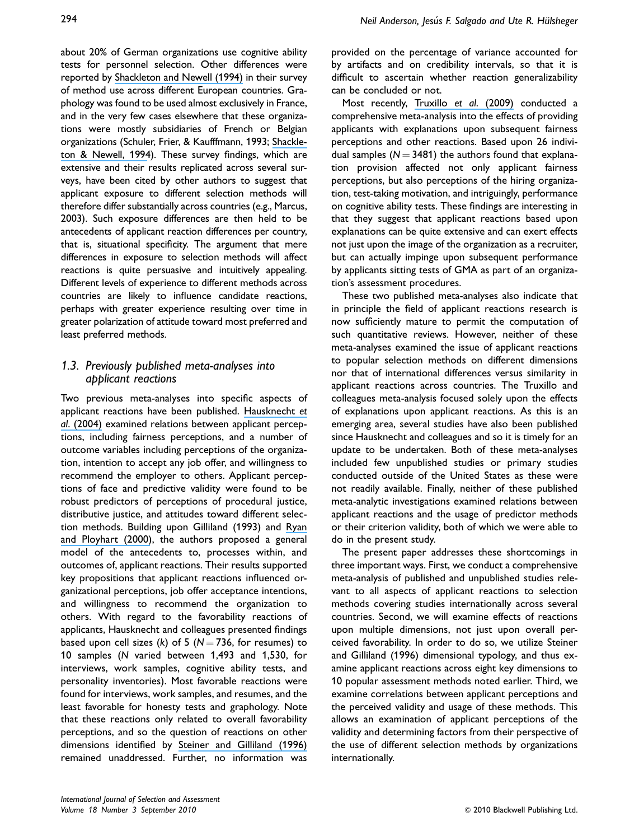about 20% of German organizations use cognitive ability tests for personnel selection. Other differences were reported by [Shackleton and Newell \(1994\)](https://www.researchgate.net/publication/229912126_European_Management_Selection_Methods_A_Comparison_of_Five_Countries?el=1_x_8&enrichId=rgreq-7b1d9e1b-cf89-44a1-973a-8d50716e7921&enrichSource=Y292ZXJQYWdlOzIyODI1Mzk2ODtBUzo5ODU5OTkyOTEyMjgzOUAxNDAwNTE5NDYzODcw) in their survey of method use across different European countries. Graphology was found to be used almost exclusively in France, and in the very few cases elsewhere that these organizations were mostly subsidiaries of French or Belgian organizations (Schuler, Frier, & Kaufffmann, 1993; [Shackle](https://www.researchgate.net/publication/229912126_European_Management_Selection_Methods_A_Comparison_of_Five_Countries?el=1_x_8&enrichId=rgreq-7b1d9e1b-cf89-44a1-973a-8d50716e7921&enrichSource=Y292ZXJQYWdlOzIyODI1Mzk2ODtBUzo5ODU5OTkyOTEyMjgzOUAxNDAwNTE5NDYzODcw)[ton & Newell, 1994](https://www.researchgate.net/publication/229912126_European_Management_Selection_Methods_A_Comparison_of_Five_Countries?el=1_x_8&enrichId=rgreq-7b1d9e1b-cf89-44a1-973a-8d50716e7921&enrichSource=Y292ZXJQYWdlOzIyODI1Mzk2ODtBUzo5ODU5OTkyOTEyMjgzOUAxNDAwNTE5NDYzODcw)). These survey findings, which are extensive and their results replicated across several surveys, have been cited by other authors to suggest that applicant exposure to different selection methods will therefore differ substantially across countries (e.g., Marcus, 2003). Such exposure differences are then held to be antecedents of applicant reaction differences per country, that is, situational specificity. The argument that mere differences in exposure to selection methods will affect reactions is quite persuasive and intuitively appealing. Different levels of experience to different methods across countries are likely to influence candidate reactions, perhaps with greater experience resulting over time in greater polarization of attitude toward most preferred and least preferred methods.

# 1.3. Previously published meta-analyses into applicant reactions

Two previous meta-analyses into specific aspects of applicant reactions have been published. [Hausknecht](https://www.researchgate.net/publication/37150348_Applicant_Reactions_to_Selection_Procedures_An_Updated_Model_and_Meta-Analysis?el=1_x_8&enrichId=rgreq-7b1d9e1b-cf89-44a1-973a-8d50716e7921&enrichSource=Y292ZXJQYWdlOzIyODI1Mzk2ODtBUzo5ODU5OTkyOTEyMjgzOUAxNDAwNTE5NDYzODcw) et al[. \(2004\)](https://www.researchgate.net/publication/37150348_Applicant_Reactions_to_Selection_Procedures_An_Updated_Model_and_Meta-Analysis?el=1_x_8&enrichId=rgreq-7b1d9e1b-cf89-44a1-973a-8d50716e7921&enrichSource=Y292ZXJQYWdlOzIyODI1Mzk2ODtBUzo5ODU5OTkyOTEyMjgzOUAxNDAwNTE5NDYzODcw) examined relations between applicant perceptions, including fairness perceptions, and a number of outcome variables including perceptions of the organization, intention to accept any job offer, and willingness to recommend the employer to others. Applicant perceptions of face and predictive validity were found to be robust predictors of perceptions of procedural justice, distributive justice, and attitudes toward different selection methods. Building upon Gilliland (1993) and [Ryan](https://www.researchgate.net/publication/247569997_Applicants) [and Ployhart \(2000\)](https://www.researchgate.net/publication/247569997_Applicants), the authors proposed a general model of the antecedents to, processes within, and outcomes of, applicant reactions. Their results supported key propositions that applicant reactions influenced organizational perceptions, job offer acceptance intentions, and willingness to recommend the organization to others. With regard to the favorability reactions of applicants, Hausknecht and colleagues presented findings based upon cell sizes (k) of 5 ( $N = 736$ , for resumes) to 10 samples (N varied between 1,493 and 1,530, for interviews, work samples, cognitive ability tests, and personality inventories). Most favorable reactions were found for interviews, work samples, and resumes, and the least favorable for honesty tests and graphology. Note that these reactions only related to overall favorability perceptions, and so the question of reactions on other dimensions identified by [Steiner and Gilliland \(1996\)](https://www.researchgate.net/publication/232599605_Fairness_Reactions_to_Personnel_Selection_Techniques_in_France_and_United_States?el=1_x_8&enrichId=rgreq-7b1d9e1b-cf89-44a1-973a-8d50716e7921&enrichSource=Y292ZXJQYWdlOzIyODI1Mzk2ODtBUzo5ODU5OTkyOTEyMjgzOUAxNDAwNTE5NDYzODcw) remained unaddressed. Further, no information was

provided on the percentage of variance accounted for by artifacts and on credibility intervals, so that it is difficult to ascertain whether reaction generalizability can be concluded or not.

Most recently, Truxillo et al[. \(2009\)](https://www.researchgate.net/publication/228253937_Effects_of_Explanations_on_Applicant_Reactions_A_Meta-Analytic_Review?el=1_x_8&enrichId=rgreq-7b1d9e1b-cf89-44a1-973a-8d50716e7921&enrichSource=Y292ZXJQYWdlOzIyODI1Mzk2ODtBUzo5ODU5OTkyOTEyMjgzOUAxNDAwNTE5NDYzODcw) conducted a comprehensive meta-analysis into the effects of providing applicants with explanations upon subsequent fairness perceptions and other reactions. Based upon 26 individual samples ( $N = 3481$ ) the authors found that explanation provision affected not only applicant fairness perceptions, but also perceptions of the hiring organization, test-taking motivation, and intriguingly, performance on cognitive ability tests. These findings are interesting in that they suggest that applicant reactions based upon explanations can be quite extensive and can exert effects not just upon the image of the organization as a recruiter, but can actually impinge upon subsequent performance by applicants sitting tests of GMA as part of an organization's assessment procedures.

These two published meta-analyses also indicate that in principle the field of applicant reactions research is now sufficiently mature to permit the computation of such quantitative reviews. However, neither of these meta-analyses examined the issue of applicant reactions to popular selection methods on different dimensions nor that of international differences versus similarity in applicant reactions across countries. The Truxillo and colleagues meta-analysis focused solely upon the effects of explanations upon applicant reactions. As this is an emerging area, several studies have also been published since Hausknecht and colleagues and so it is timely for an update to be undertaken. Both of these meta-analyses included few unpublished studies or primary studies conducted outside of the United States as these were not readily available. Finally, neither of these published meta-analytic investigations examined relations between applicant reactions and the usage of predictor methods or their criterion validity, both of which we were able to do in the present study.

The present paper addresses these shortcomings in three important ways. First, we conduct a comprehensive meta-analysis of published and unpublished studies relevant to all aspects of applicant reactions to selection methods covering studies internationally across several countries. Second, we will examine effects of reactions upon multiple dimensions, not just upon overall perceived favorability. In order to do so, we utilize Steiner and Gilliland (1996) dimensional typology, and thus examine applicant reactions across eight key dimensions to 10 popular assessment methods noted earlier. Third, we examine correlations between applicant perceptions and the perceived validity and usage of these methods. This allows an examination of applicant perceptions of the validity and determining factors from their perspective of the use of different selection methods by organizations internationally.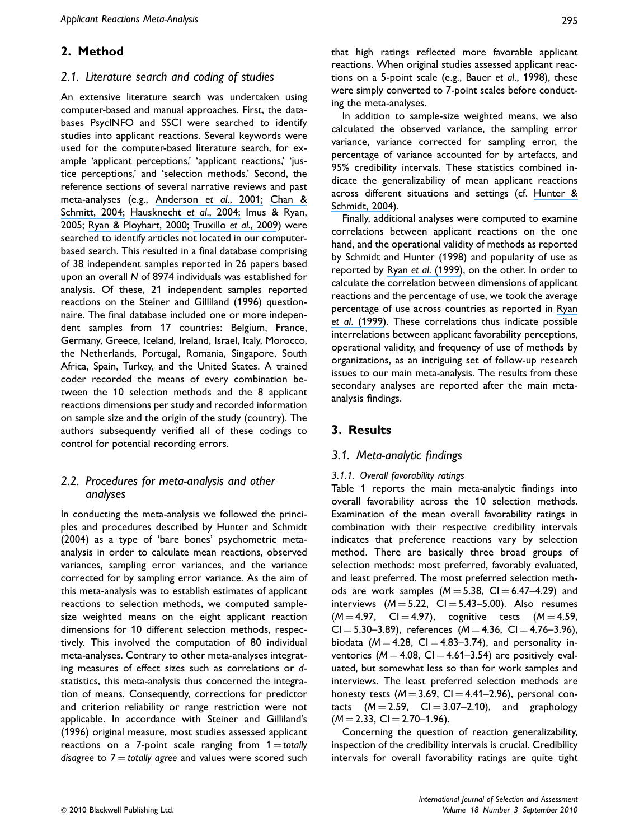# 2. Method

#### 2.1. Literature search and coding of studies

An extensive literature search was undertaken using computer-based and manual approaches. First, the databases PsycINFO and SSCI were searched to identify studies into applicant reactions. Several keywords were used for the computer-based literature search, for example 'applicant perceptions,' 'applicant reactions,' 'justice perceptions,' and 'selection methods.' Second, the reference sections of several narrative reviews and past meta-analyses (e.g., [Anderson](https://www.researchgate.net/publication/232430958_Recruitment_and_selection_Applicant_perspectives_and_outcomes?el=1_x_8&enrichId=rgreq-7b1d9e1b-cf89-44a1-973a-8d50716e7921&enrichSource=Y292ZXJQYWdlOzIyODI1Mzk2ODtBUzo5ODU5OTkyOTEyMjgzOUAxNDAwNTE5NDYzODcw) et al., 2001; [Chan &](https://www.researchgate.net/publication/228254185_An_Agenda_for_Future_Research_on_Applicant_Reactions_to_Selection_Procedures_A_Construct-Oriented_Approach?el=1_x_8&enrichId=rgreq-7b1d9e1b-cf89-44a1-973a-8d50716e7921&enrichSource=Y292ZXJQYWdlOzIyODI1Mzk2ODtBUzo5ODU5OTkyOTEyMjgzOUAxNDAwNTE5NDYzODcw) [Schmitt, 2004;](https://www.researchgate.net/publication/228254185_An_Agenda_for_Future_Research_on_Applicant_Reactions_to_Selection_Procedures_A_Construct-Oriented_Approach?el=1_x_8&enrichId=rgreq-7b1d9e1b-cf89-44a1-973a-8d50716e7921&enrichSource=Y292ZXJQYWdlOzIyODI1Mzk2ODtBUzo5ODU5OTkyOTEyMjgzOUAxNDAwNTE5NDYzODcw) [Hausknecht](https://www.researchgate.net/publication/37150348_Applicant_Reactions_to_Selection_Procedures_An_Updated_Model_and_Meta-Analysis?el=1_x_8&enrichId=rgreq-7b1d9e1b-cf89-44a1-973a-8d50716e7921&enrichSource=Y292ZXJQYWdlOzIyODI1Mzk2ODtBUzo5ODU5OTkyOTEyMjgzOUAxNDAwNTE5NDYzODcw) et al., 2004; Imus & Ryan, 2005; [Ryan & Ployhart, 2000;](https://www.researchgate.net/publication/247569997_Applicants) [Truxillo](https://www.researchgate.net/publication/228253937_Effects_of_Explanations_on_Applicant_Reactions_A_Meta-Analytic_Review?el=1_x_8&enrichId=rgreq-7b1d9e1b-cf89-44a1-973a-8d50716e7921&enrichSource=Y292ZXJQYWdlOzIyODI1Mzk2ODtBUzo5ODU5OTkyOTEyMjgzOUAxNDAwNTE5NDYzODcw) et al., 2009) were searched to identify articles not located in our computerbased search. This resulted in a final database comprising of 38 independent samples reported in 26 papers based upon an overall N of 8974 individuals was established for analysis. Of these, 21 independent samples reported reactions on the Steiner and Gilliland (1996) questionnaire. The final database included one or more independent samples from 17 countries: Belgium, France, Germany, Greece, Iceland, Ireland, Israel, Italy, Morocco, the Netherlands, Portugal, Romania, Singapore, South Africa, Spain, Turkey, and the United States. A trained coder recorded the means of every combination between the 10 selection methods and the 8 applicant reactions dimensions per study and recorded information on sample size and the origin of the study (country). The authors subsequently verified all of these codings to control for potential recording errors.

# 2.2. Procedures for meta-analysis and other analyses

In conducting the meta-analysis we followed the principles and procedures described by Hunter and Schmidt (2004) as a type of 'bare bones' psychometric metaanalysis in order to calculate mean reactions, observed variances, sampling error variances, and the variance corrected for by sampling error variance. As the aim of this meta-analysis was to establish estimates of applicant reactions to selection methods, we computed samplesize weighted means on the eight applicant reaction dimensions for 10 different selection methods, respectively. This involved the computation of 80 individual meta-analyses. Contrary to other meta-analyses integrating measures of effect sizes such as correlations or dstatistics, this meta-analysis thus concerned the integration of means. Consequently, corrections for predictor and criterion reliability or range restriction were not applicable. In accordance with Steiner and Gilliland's (1996) original measure, most studies assessed applicant reactions on a 7-point scale ranging from  $1 =$  totally disagree to  $7 =$  totally agree and values were scored such

that high ratings reflected more favorable applicant reactions. When original studies assessed applicant reactions on a 5-point scale (e.g., Bauer et al., 1998), these were simply converted to 7-point scales before conducting the meta-analyses.

In addition to sample-size weighted means, we also calculated the observed variance, the sampling error variance, variance corrected for sampling error, the percentage of variance accounted for by artefacts, and 95% credibility intervals. These statistics combined indicate the generalizability of mean applicant reactions across different situations and settings (cf. [Hunter &](https://www.researchgate.net/publication/235726244_Methods_of_Meta-Analysis_Corrected_Error_and_Bias_in_Research_Findings?el=1_x_8&enrichId=rgreq-7b1d9e1b-cf89-44a1-973a-8d50716e7921&enrichSource=Y292ZXJQYWdlOzIyODI1Mzk2ODtBUzo5ODU5OTkyOTEyMjgzOUAxNDAwNTE5NDYzODcw) [Schmidt, 2004](https://www.researchgate.net/publication/235726244_Methods_of_Meta-Analysis_Corrected_Error_and_Bias_in_Research_Findings?el=1_x_8&enrichId=rgreq-7b1d9e1b-cf89-44a1-973a-8d50716e7921&enrichSource=Y292ZXJQYWdlOzIyODI1Mzk2ODtBUzo5ODU5OTkyOTEyMjgzOUAxNDAwNTE5NDYzODcw)).

Finally, additional analyses were computed to examine correlations between applicant reactions on the one hand, and the operational validity of methods as reported by Schmidt and Hunter (1998) and popularity of use as reported by Ryan et al[. \(1999\)](https://www.researchgate.net/publication/279673268_An_international_look_at_selection_practices_Nation_and_culture_as_explanations_for_variability_in_practice?el=1_x_8&enrichId=rgreq-7b1d9e1b-cf89-44a1-973a-8d50716e7921&enrichSource=Y292ZXJQYWdlOzIyODI1Mzk2ODtBUzo5ODU5OTkyOTEyMjgzOUAxNDAwNTE5NDYzODcw), on the other. In order to calculate the correlation between dimensions of applicant reactions and the percentage of use, we took the average percentage of use across countries as reported in [Ryan](https://www.researchgate.net/publication/279673268_An_international_look_at_selection_practices_Nation_and_culture_as_explanations_for_variability_in_practice?el=1_x_8&enrichId=rgreq-7b1d9e1b-cf89-44a1-973a-8d50716e7921&enrichSource=Y292ZXJQYWdlOzIyODI1Mzk2ODtBUzo5ODU5OTkyOTEyMjgzOUAxNDAwNTE5NDYzODcw) et al[. \(1999\)](https://www.researchgate.net/publication/279673268_An_international_look_at_selection_practices_Nation_and_culture_as_explanations_for_variability_in_practice?el=1_x_8&enrichId=rgreq-7b1d9e1b-cf89-44a1-973a-8d50716e7921&enrichSource=Y292ZXJQYWdlOzIyODI1Mzk2ODtBUzo5ODU5OTkyOTEyMjgzOUAxNDAwNTE5NDYzODcw). These correlations thus indicate possible interrelations between applicant favorability perceptions, operational validity, and frequency of use of methods by organizations, as an intriguing set of follow-up research issues to our main meta-analysis. The results from these secondary analyses are reported after the main metaanalysis findings.

# 3. Results

# 3.1. Meta-analytic findings

#### 3.1.1. Overall favorability ratings

Table 1 reports the main meta-analytic findings into overall favorability across the 10 selection methods. Examination of the mean overall favorability ratings in combination with their respective credibility intervals indicates that preference reactions vary by selection method. There are basically three broad groups of selection methods: most preferred, favorably evaluated, and least preferred. The most preferred selection methods are work samples  $(M = 5.38, \text{ Cl} = 6.47-4.29)$  and interviews  $(M = 5.22, \text{ Cl} = 5.43-5.00)$ . Also resumes  $(M = 4.97, \quad C = 4.97), \quad \text{cognitive tests} \quad (M = 4.59,$  $CI = 5.30-3.89$ , references ( $M = 4.36$ ,  $CI = 4.76-3.96$ ), biodata ( $M = 4.28$ , CI = 4.83-3.74), and personality inventories ( $M = 4.08$ , Cl = 4.61–3.54) are positively evaluated, but somewhat less so than for work samples and interviews. The least preferred selection methods are honesty tests ( $M = 3.69$ , CI = 4.41–2.96), personal contacts  $(M = 2.59, \text{ Cl} = 3.07-2.10),$  and graphology  $(M = 2.33, Cl = 2.70-1.96).$ 

Concerning the question of reaction generalizability, inspection of the credibility intervals is crucial. Credibility intervals for overall favorability ratings are quite tight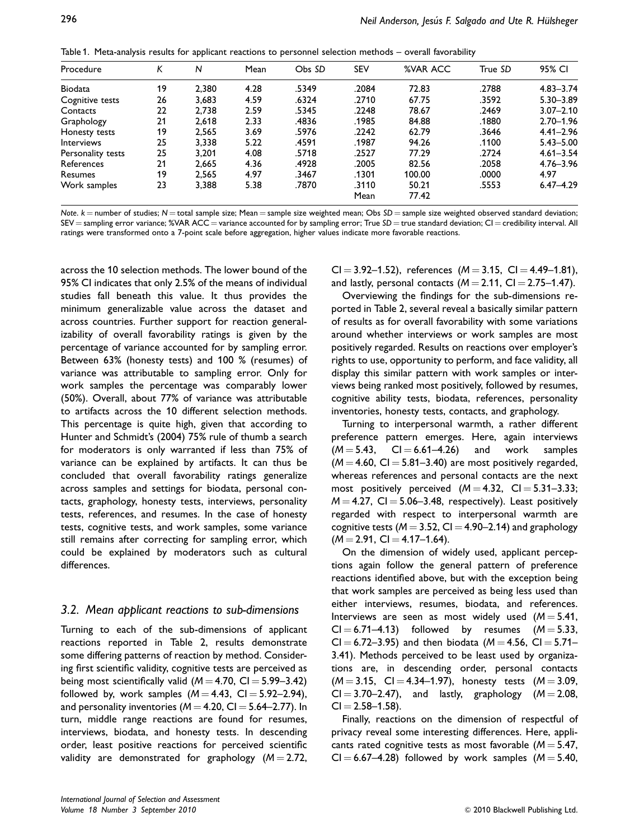|  | Table 1. Meta-analysis results for applicant reactions to personnel selection methods - overall favorability |  |  |  |  |  |  |  |  |
|--|--------------------------------------------------------------------------------------------------------------|--|--|--|--|--|--|--|--|
|--|--------------------------------------------------------------------------------------------------------------|--|--|--|--|--|--|--|--|

| Procedure         | Κ  | N     | Mean | Obs SD | <b>SEV</b>    | %VAR ACC       | True SD | 95% CI        |
|-------------------|----|-------|------|--------|---------------|----------------|---------|---------------|
| <b>Biodata</b>    | 19 | 2.380 | 4.28 | .5349  | .2084         | 72.83          | .2788   | $4.83 - 3.74$ |
| Cognitive tests   | 26 | 3,683 | 4.59 | .6324  | .2710         | 67.75          | .3592   | $5.30 - 3.89$ |
| Contacts          | 22 | 2,738 | 2.59 | .5345  | .2248         | 78.67          | .2469   | $3.07 - 2.10$ |
| Graphology        | 21 | 2.618 | 2.33 | .4836  | .1985         | 84.88          | .1880   | $2.70 - 1.96$ |
| Honesty tests     | 19 | 2,565 | 3.69 | .5976  | .2242         | 62.79          | .3646   | $4.41 - 2.96$ |
| <b>Interviews</b> | 25 | 3.338 | 5.22 | .4591  | .1987         | 94.26          | .1100   | $5.43 - 5.00$ |
| Personality tests | 25 | 3.201 | 4.08 | .5718  | .2527         | 77.29          | .2724   | $4.61 - 3.54$ |
| References        | 21 | 2,665 | 4.36 | .4928  | .2005         | 82.56          | .2058   | $4.76 - 3.96$ |
| Resumes           | 19 | 2,565 | 4.97 | .3467  | .1301         | 100.00         | .0000   | 4.97          |
| Work samples      | 23 | 3.388 | 5.38 | .7870  | .3110<br>Mean | 50.21<br>77.42 | .5553   | $6.47 - 4.29$ |

Note.  $k$  = number of studies; N = total sample size; Mean = sample size weighted mean; Obs SD = sample size weighted observed standard deviation;  $SEV =$  sampling error variance; %VAR ACC = variance accounted for by sampling error; True SD = true standard deviation; CI = credibility interval. All ratings were transformed onto a 7-point scale before aggregation, higher values indicate more favorable reactions.

across the 10 selection methods. The lower bound of the 95% CI indicates that only 2.5% of the means of individual studies fall beneath this value. It thus provides the minimum generalizable value across the dataset and across countries. Further support for reaction generalizability of overall favorability ratings is given by the percentage of variance accounted for by sampling error. Between 63% (honesty tests) and 100 % (resumes) of variance was attributable to sampling error. Only for work samples the percentage was comparably lower (50%). Overall, about 77% of variance was attributable to artifacts across the 10 different selection methods. This percentage is quite high, given that according to Hunter and Schmidt's (2004) 75% rule of thumb a search for moderators is only warranted if less than 75% of variance can be explained by artifacts. It can thus be concluded that overall favorability ratings generalize across samples and settings for biodata, personal contacts, graphology, honesty tests, interviews, personality tests, references, and resumes. In the case of honesty tests, cognitive tests, and work samples, some variance still remains after correcting for sampling error, which could be explained by moderators such as cultural differences.

#### 3.2. Mean applicant reactions to sub-dimensions

Turning to each of the sub-dimensions of applicant reactions reported in Table 2, results demonstrate some differing patterns of reaction by method. Considering first scientific validity, cognitive tests are perceived as being most scientifically valid ( $M = 4.70$ , Cl = 5.99–3.42) followed by, work samples  $(M = 4.43, Cl = 5.92-2.94)$ , and personality inventories ( $M = 4.20$ , Cl = 5.64–2.77). In turn, middle range reactions are found for resumes, interviews, biodata, and honesty tests. In descending order, least positive reactions for perceived scientific validity are demonstrated for graphology  $(M = 2.72)$ ,

 $CI = 3.92-1.52$ , references ( $M = 3.15$ ,  $CI = 4.49-1.81$ ), and lastly, personal contacts  $(M = 2.11, Cl = 2.75-1.47)$ .

Overviewing the findings for the sub-dimensions reported in Table 2, several reveal a basically similar pattern of results as for overall favorability with some variations around whether interviews or work samples are most positively regarded. Results on reactions over employer's rights to use, opportunity to perform, and face validity, all display this similar pattern with work samples or interviews being ranked most positively, followed by resumes, cognitive ability tests, biodata, references, personality inventories, honesty tests, contacts, and graphology.

Turning to interpersonal warmth, a rather different preference pattern emerges. Here, again interviews  $(M = 5.43, \quad Cl = 6.61 - 4.26)$  and work samples  $(M = 4.60, Cl = 5.81-3.40)$  are most positively regarded, whereas references and personal contacts are the next most positively perceived  $(M = 4.32, Cl = 5.31-3.33;$  $M = 4.27$ , CI = 5.06-3.48, respectively). Least positively regarded with respect to interpersonal warmth are cognitive tests ( $M = 3.52$ , CI = 4.90–2.14) and graphology  $(M = 2.91, Cl = 4.17-1.64).$ 

On the dimension of widely used, applicant perceptions again follow the general pattern of preference reactions identified above, but with the exception being that work samples are perceived as being less used than either interviews, resumes, biodata, and references. Interviews are seen as most widely used  $(M = 5.41,$  $CI = 6.71-4.13$ ) followed by resumes ( $M = 5.33$ ,  $CI = 6.72 - 3.95$ ) and then biodata ( $M = 4.56$ ,  $CI = 5.71 -$ 3.41). Methods perceived to be least used by organizations are, in descending order, personal contacts  $(M = 3.15, \text{ Cl} = 4.34-1.97), \text{ honesty tests } (M = 3.09,$  $CI = 3.70 - 2.47$ , and lastly, graphology  $(M = 2.08,$  $CI = 2.58 - 1.58$ ).

Finally, reactions on the dimension of respectful of privacy reveal some interesting differences. Here, applicants rated cognitive tests as most favorable ( $M = 5.47$ ,  $CI = 6.67–4.28$ ) followed by work samples ( $M = 5.40$ ,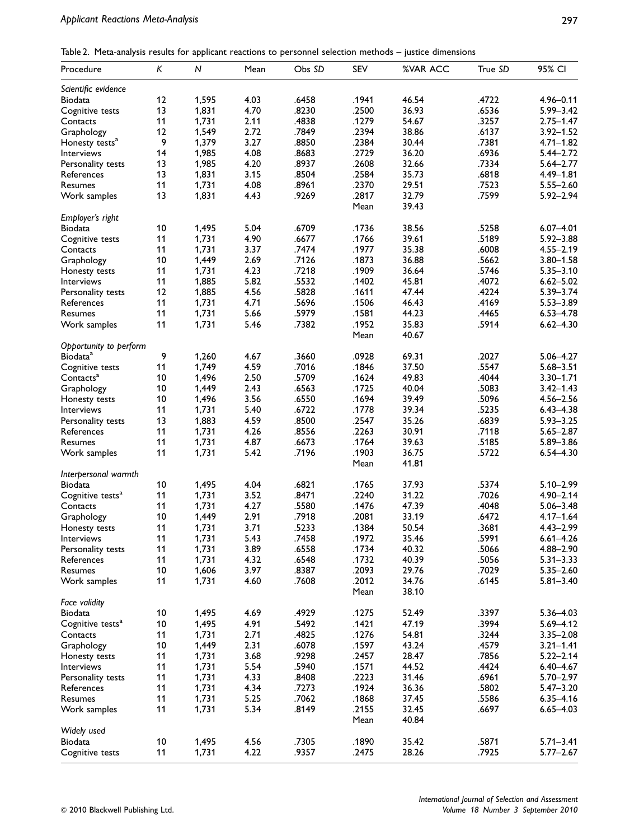|  | Table 2. Meta-analysis results for applicant reactions to personnel selection methods - justice dimensions |  |  |  |  |  |  |  |  |
|--|------------------------------------------------------------------------------------------------------------|--|--|--|--|--|--|--|--|
|--|------------------------------------------------------------------------------------------------------------|--|--|--|--|--|--|--|--|

| Procedure                    | Κ    | ${\sf N}$ | Mean | Obs SD | SEV   | %VAR ACC | True SD | 95% CI        |
|------------------------------|------|-----------|------|--------|-------|----------|---------|---------------|
| Scientific evidence          |      |           |      |        |       |          |         |               |
| Biodata                      | 12   | 1,595     | 4.03 | .6458  | .1941 | 46.54    | .4722   | $4.96 - 0.11$ |
| Cognitive tests              | 13   | 1,831     | 4.70 | .8230  | .2500 | 36.93    | .6536   | $5.99 - 3.42$ |
| Contacts                     | 11   | 1,731     | 2.11 | .4838  | .1279 | 54.67    | .3257   | $2.75 - 1.47$ |
|                              |      |           |      |        |       |          |         |               |
| Graphology                   | 12   | 1,549     | 2.72 | .7849  | .2394 | 38.86    | .6137   | $3.92 - 1.52$ |
| Honesty tests <sup>a</sup>   | 9    | 1,379     | 3.27 | .8850  | .2384 | 30.44    | .7381   | $4.71 - 1.82$ |
| Interviews                   | 14   | 1,985     | 4.08 | .8683  | .2729 | 36.20    | .6936   | $5.44 - 2.72$ |
| Personality tests            | 13   | 1,985     | 4.20 | .8937  | .2608 | 32.66    | .7334   | $5.64 - 2.77$ |
| References                   | 13   | 1,831     | 3.15 | .8504  | .2584 | 35.73    | .6818   | $4.49 - 1.81$ |
| Resumes                      | 11   | 1,731     | 4.08 | .8961  | .2370 | 29.51    | .7523   | $5.55 - 2.60$ |
| Work samples                 | 13   | 1,831     | 4.43 | .9269  | .2817 | 32.79    | .7599   | $5.92 - 2.94$ |
|                              |      |           |      |        | Mean  | 39.43    |         |               |
| Employer's right             |      |           |      |        |       |          |         |               |
| <b>Biodata</b>               | 10   | 1,495     | 5.04 | .6709  | .1736 | 38.56    | .5258   | $6.07 - 4.01$ |
| Cognitive tests              | 11   | 1,731     | 4.90 | .6677  | .1766 | 39.61    | .5189   | $5.92 - 3.88$ |
| Contacts                     | 11   | 1,731     | 3.37 | .7474  | .1977 | 35.38    | .6008   | $4.55 - 2.19$ |
| Graphology                   | 10   | 1,449     | 2.69 | .7126  | .1873 | 36.88    | .5662   | $3.80 - 1.58$ |
| Honesty tests                | 11   | 1,731     | 4.23 | .7218  | .1909 | 36.64    | .5746   | $5.35 - 3.10$ |
| Interviews                   | 11   | 1,885     | 5.82 | .5532  | .1402 | 45.81    | .4072   | $6.62 - 5.02$ |
| Personality tests            | 12   | 1,885     | 4.56 | .5828  | .1611 | 47.44    | .4224   | 5.39 - 3.74   |
| References                   | 11   | 1,731     | 4.71 | .5696  | .1506 | 46.43    | .4169   | $5.53 - 3.89$ |
| Resumes                      | 11   | 1,731     | 5.66 | .5979  | .1581 | 44.23    | .4465   | $6.53 - 4.78$ |
| Work samples                 | 11   | 1,731     | 5.46 | .7382  | .1952 | 35.83    | .5914   | $6.62 - 4.30$ |
|                              |      |           |      |        | Mean  | 40.67    |         |               |
| Opportunity to perform       |      |           |      |        |       |          |         |               |
| Biodata <sup>a</sup>         | 9    | 1,260     | 4.67 | .3660  | .0928 | 69.31    | .2027   | 5.06-4.27     |
| Cognitive tests              | 11   | 1,749     | 4.59 | .7016  | .1846 | 37.50    | .5547   | $5.68 - 3.51$ |
| Contacts <sup>a</sup>        | 10   | 1,496     | 2.50 | .5709  | .1624 | 49.83    | .4044   | $3.30 - 1.71$ |
|                              |      |           |      |        |       |          |         |               |
| Graphology                   | 10   | 1,449     | 2.43 | .6563  | .1725 | 40.04    | .5083   | $3.42 - 1.43$ |
| Honesty tests                | 10   | 1,496     | 3.56 | .6550  | .1694 | 39.49    | .5096   | $4.56 - 2.56$ |
| Interviews                   | 11   | 1,731     | 5.40 | .6722  | .1778 | 39.34    | .5235   | $6.43 - 4.38$ |
| Personality tests            | 13   | 1,883     | 4.59 | .8500  | .2547 | 35.26    | .6839   | $5.93 - 3.25$ |
| References                   | 11   | 1,731     | 4.26 | .8556  | .2263 | 30.91    | .7118   | $5.65 - 2.87$ |
| Resumes                      | 11   | 1,731     | 4.87 | .6673  | .1764 | 39.63    | .5185   | 5.89-3.86     |
| Work samples                 | 11   | 1,731     | 5.42 | .7196  | .1903 | 36.75    | .5722   | 6.54–4.30     |
|                              |      |           |      |        | Mean  | 41.81    |         |               |
| Interpersonal warmth         |      |           |      |        |       |          |         |               |
| <b>Biodata</b>               | 10   | 1,495     | 4.04 | .6821  | .1765 | 37.93    | .5374   | $5.10 - 2.99$ |
| Cognitive tests <sup>a</sup> | 11   | 1,731     | 3.52 | .8471  | .2240 | 31.22    | .7026   | $4.90 - 2.14$ |
| Contacts                     | 11   | 1,731     | 4.27 | .5580  | .1476 | 47.39    | .4048   | $5.06 - 3.48$ |
| Graphology                   | 10   | 1,449     | 2.91 | .7918  | .2081 | 33.19    | .6472   | $4.17 - 1.64$ |
| Honesty tests                | 11   | 1,731     | 3.71 | .5233  | .1384 | 50.54    | .3681   | $4.43 - 2.99$ |
| Interviews                   | 11   | 1,731     | 5.43 | .7458  | .1972 | 35.46    | .5991   | $6.61 - 4.26$ |
| Personality tests            | 11   | 1,731     | 3.89 | .6558  | .1734 | 40.32    | .5066   | 4.88-2.90     |
| References                   | 11   | 1,731     | 4.32 | .6548  | .1732 | 40.39    | .5056   | $5.31 - 3.33$ |
| Resumes                      | $10$ | 1,606     | 3.97 | .8387  | .2093 | 29.76    | .7029   | $5.35 - 2.60$ |
| Work samples                 | 11   | 1,731     | 4.60 | .7608  | .2012 | 34.76    | .6145   | $5.81 - 3.40$ |
|                              |      |           |      |        | Mean  | 38.10    |         |               |
| Face validity                |      |           |      |        |       |          |         |               |
| Biodata                      | 10   | 1,495     | 4.69 | .4929  | .1275 | 52.49    | .3397   | $5.36 - 4.03$ |
| Cognitive tests <sup>a</sup> | 10   | 1,495     | 4.91 | .5492  | .1421 | 47.19    | .3994   | $5.69 - 4.12$ |
| Contacts                     | 11   | 1,731     | 2.71 | .4825  | .1276 | 54.81    | .3244   | $3.35 - 2.08$ |
|                              | 10   | 1,449     | 2.31 | .6078  | .1597 | 43.24    | .4579   | $3.21 - 1.41$ |
| Graphology                   |      |           |      |        |       |          |         |               |
| Honesty tests                | 11   | 1,731     | 3.68 | .9298  | .2457 | 28.47    | .7856   | $5.22 - 2.14$ |
| Interviews                   | 11   | 1,731     | 5.54 | .5940  | .1571 | 44.52    | .4424   | $6.40 - 4.67$ |
| Personality tests            | 11   | 1,731     | 4.33 | .8408  | .2223 | 31.46    | .6961   | $5.70 - 2.97$ |
| References                   | 11   | 1,731     | 4.34 | .7273  | .1924 | 36.36    | .5802   | $5.47 - 3.20$ |
| Resumes                      | 11   | 1,731     | 5.25 | .7062  | .1868 | 37.45    | .5586   | $6.35 - 4.16$ |
| Work samples                 | 11   | 1,731     | 5.34 | .8149  | .2155 | 32.45    | .6697   | $6.65 - 4.03$ |
|                              |      |           |      |        | Mean  | 40.84    |         |               |
| Widely used                  |      |           |      |        |       |          |         |               |
| Biodata                      | 10   | 1,495     | 4.56 | .7305  | .1890 | 35.42    | .5871   | $5.71 - 3.41$ |
| Cognitive tests              | 11   | 1,731     | 4.22 | .9357  | .2475 | 28.26    | .7925   | $5.77 - 2.67$ |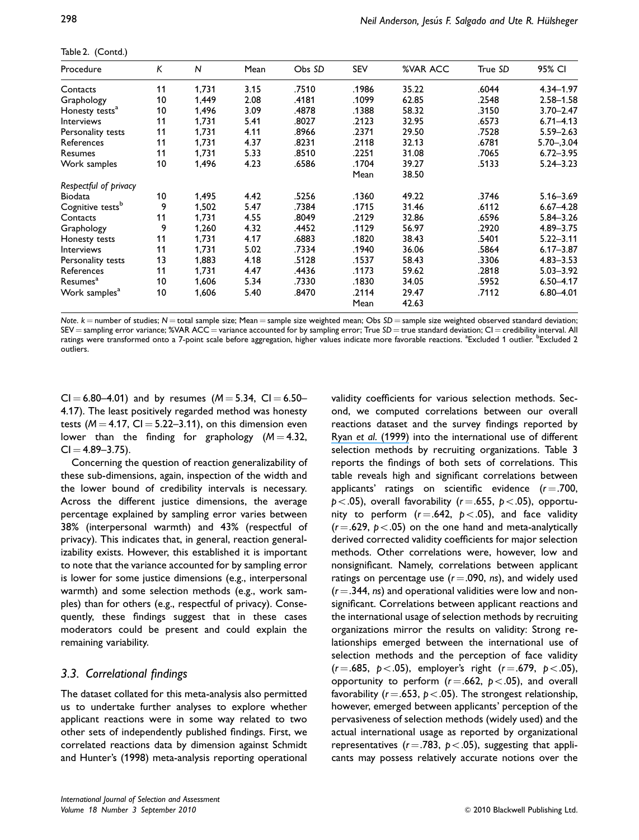| Table 2. (Contd.) |  |
|-------------------|--|
|-------------------|--|

| Procedure                    | K  | N     | Mean | Obs SD | SEV   | %VAR ACC | True SD | 95% CI        |
|------------------------------|----|-------|------|--------|-------|----------|---------|---------------|
| Contacts                     | 11 | 1,731 | 3.15 | .7510  | .1986 | 35.22    | .6044   | $4.34 - 1.97$ |
| Graphology                   | 10 | 1,449 | 2.08 | .4181  | .1099 | 62.85    | .2548   | $2.58 - 1.58$ |
| Honesty tests <sup>a</sup>   | 10 | 1,496 | 3.09 | .4878  | .1388 | 58.32    | .3150   | $3.70 - 2.47$ |
| <b>Interviews</b>            | 11 | 1,731 | 5.41 | .8027  | .2123 | 32.95    | .6573   | $6.71 - 4.13$ |
| Personality tests            | 11 | 1,731 | 4.11 | .8966  | .2371 | 29.50    | .7528   | $5.59 - 2.63$ |
| References                   | 11 | 1,731 | 4.37 | .8231  | .2118 | 32.13    | .6781   | $5.70 - 3.04$ |
| Resumes                      | 11 | 1,731 | 5.33 | .8510  | .2251 | 31.08    | .7065   | $6.72 - 3.95$ |
| Work samples                 | 10 | 1,496 | 4.23 | .6586  | .1704 | 39.27    | .5133   | $5.24 - 3.23$ |
|                              |    |       |      |        | Mean  | 38.50    |         |               |
| Respectful of privacy        |    |       |      |        |       |          |         |               |
| <b>Biodata</b>               | 10 | 1,495 | 4.42 | .5256  | .1360 | 49.22    | .3746   | $5.16 - 3.69$ |
| Cognitive tests <sup>b</sup> | 9  | 1,502 | 5.47 | .7384  | .1715 | 31.46    | .6112   | $6.67 - 4.28$ |
| Contacts                     | 11 | 1,731 | 4.55 | .8049  | .2129 | 32.86    | .6596   | $5.84 - 3.26$ |
| Graphology                   | 9  | 1,260 | 4.32 | .4452  | .1129 | 56.97    | .2920   | $4.89 - 3.75$ |
| Honesty tests                | 11 | 1,731 | 4.17 | .6883  | .1820 | 38.43    | .5401   | $5.22 - 3.11$ |
| <b>Interviews</b>            | 11 | 1,731 | 5.02 | .7334  | .1940 | 36.06    | .5864   | $6.17 - 3.87$ |
| Personality tests            | 13 | 1,883 | 4.18 | .5128  | .1537 | 58.43    | .3306   | $4.83 - 3.53$ |
| References                   | 11 | 1,731 | 4.47 | .4436  | .1173 | 59.62    | .2818   | $5.03 - 3.92$ |
| Resumes <sup>a</sup>         | 10 | 1,606 | 5.34 | .7330  | .1830 | 34.05    | .5952   | $6.50 - 4.17$ |
| Work samples <sup>a</sup>    | 10 | 1,606 | 5.40 | .8470  | .2114 | 29.47    | .7112   | $6.80 - 4.01$ |
|                              |    |       |      |        | Mean  | 42.63    |         |               |

Note.  $k$  = number of studies; N = total sample size; Mean = sample size weighted mean; Obs SD = sample size weighted observed standard deviation;  $SEV =$  sampling error variance; %VAR ACC = variance accounted for by sampling error; True SD = true standard deviation; CI = credibility interval. All ratings were transformed onto a 7-point scale before aggregation, higher values indicate more favorable reactions. <sup>a</sup>Excluded 1 outlier. <sup>b</sup>Excluded 2 outliers.

 $CI = 6.80-4.01$  and by resumes ( $M = 5.34$ ,  $CI = 6.50-$ 4.17). The least positively regarded method was honesty tests ( $M = 4.17$ , CI = 5.22–3.11), on this dimension even lower than the finding for graphology  $(M = 4.32,$  $CI = 4.89 - 3.75$ .

Concerning the question of reaction generalizability of these sub-dimensions, again, inspection of the width and the lower bound of credibility intervals is necessary. Across the different justice dimensions, the average percentage explained by sampling error varies between 38% (interpersonal warmth) and 43% (respectful of privacy). This indicates that, in general, reaction generalizability exists. However, this established it is important to note that the variance accounted for by sampling error is lower for some justice dimensions (e.g., interpersonal warmth) and some selection methods (e.g., work samples) than for others (e.g., respectful of privacy). Consequently, these findings suggest that in these cases moderators could be present and could explain the remaining variability.

#### 3.3. Correlational findings

The dataset collated for this meta-analysis also permitted us to undertake further analyses to explore whether applicant reactions were in some way related to two other sets of independently published findings. First, we correlated reactions data by dimension against Schmidt and Hunter's (1998) meta-analysis reporting operational

validity coefficients for various selection methods. Second, we computed correlations between our overall reactions dataset and the survey findings reported by Ryan et al[. \(1999\)](https://www.researchgate.net/publication/279673268_An_international_look_at_selection_practices_Nation_and_culture_as_explanations_for_variability_in_practice?el=1_x_8&enrichId=rgreq-7b1d9e1b-cf89-44a1-973a-8d50716e7921&enrichSource=Y292ZXJQYWdlOzIyODI1Mzk2ODtBUzo5ODU5OTkyOTEyMjgzOUAxNDAwNTE5NDYzODcw) into the international use of different selection methods by recruiting organizations. Table 3 reports the findings of both sets of correlations. This table reveals high and significant correlations between applicants' ratings on scientific evidence  $(r = .700, )$  $p < .05$ ), overall favorability ( $r = .655$ ,  $p < .05$ ), opportunity to perform ( $r = .642$ ,  $p < .05$ ), and face validity  $(r = .629, p < .05)$  on the one hand and meta-analytically derived corrected validity coefficients for major selection methods. Other correlations were, however, low and nonsignificant. Namely, correlations between applicant ratings on percentage use ( $r = .090$ , ns), and widely used  $(r = .344, \text{ns})$  and operational validities were low and nonsignificant. Correlations between applicant reactions and the international usage of selection methods by recruiting organizations mirror the results on validity: Strong relationships emerged between the international use of selection methods and the perception of face validity  $(r = .685, p < .05)$ , employer's right  $(r = .679, p < .05)$ , opportunity to perform ( $r = .662$ ,  $p < .05$ ), and overall favorability ( $r = .653$ ,  $p < .05$ ). The strongest relationship, however, emerged between applicants' perception of the pervasiveness of selection methods (widely used) and the actual international usage as reported by organizational representatives ( $r = .783$ ,  $p < .05$ ), suggesting that applicants may possess relatively accurate notions over the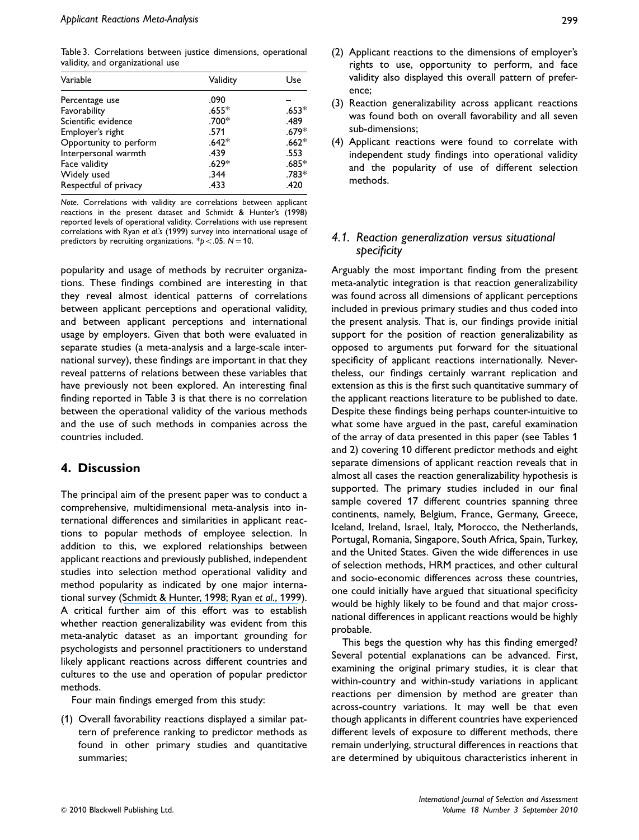Table 3. Correlations between justice dimensions, operational validity, and organizational use

| Variable               | Validity | Use     |
|------------------------|----------|---------|
| Percentage use         | .090     |         |
| Favorability           | $.655*$  | $.653*$ |
| Scientific evidence    | .700*    | .489    |
| Employer's right       | .571     | $.679*$ |
| Opportunity to perform | $.642*$  | $.662*$ |
| Interpersonal warmth   | .439     | .553    |
| Face validity          | $.629*$  | $.685*$ |
| Widely used            | .344     | .783*   |
| Respectful of privacy  | .433     | .420    |

Note. Correlations with validity are correlations between applicant reactions in the present dataset and Schmidt & Hunter's (1998) reported levels of operational validity. Correlations with use represent correlations with Ryan et al.'s (1999) survey into international usage of predictors by recruiting organizations. \*p < .05.  $N = 10$ .

popularity and usage of methods by recruiter organizations. These findings combined are interesting in that they reveal almost identical patterns of correlations between applicant perceptions and operational validity, and between applicant perceptions and international usage by employers. Given that both were evaluated in separate studies (a meta-analysis and a large-scale international survey), these findings are important in that they reveal patterns of relations between these variables that have previously not been explored. An interesting final finding reported in Table 3 is that there is no correlation between the operational validity of the various methods and the use of such methods in companies across the countries included.

## 4. Discussion

The principal aim of the present paper was to conduct a comprehensive, multidimensional meta-analysis into international differences and similarities in applicant reactions to popular methods of employee selection. In addition to this, we explored relationships between applicant reactions and previously published, independent studies into selection method operational validity and method popularity as indicated by one major international survey ([Schmidt & Hunter, 1998;](https://www.researchgate.net/publication/283803351_The_Validity_and_Utility_of_Selection_Methods_in_Personnel_Psychology_Practical_and_Theoretical_Implications_of_85_Years_of_Research_Findings?el=1_x_8&enrichId=rgreq-7b1d9e1b-cf89-44a1-973a-8d50716e7921&enrichSource=Y292ZXJQYWdlOzIyODI1Mzk2ODtBUzo5ODU5OTkyOTEyMjgzOUAxNDAwNTE5NDYzODcw) Ryan et al[., 1999](https://www.researchgate.net/publication/279673268_An_international_look_at_selection_practices_Nation_and_culture_as_explanations_for_variability_in_practice?el=1_x_8&enrichId=rgreq-7b1d9e1b-cf89-44a1-973a-8d50716e7921&enrichSource=Y292ZXJQYWdlOzIyODI1Mzk2ODtBUzo5ODU5OTkyOTEyMjgzOUAxNDAwNTE5NDYzODcw)). A critical further aim of this effort was to establish whether reaction generalizability was evident from this meta-analytic dataset as an important grounding for psychologists and personnel practitioners to understand likely applicant reactions across different countries and cultures to the use and operation of popular predictor methods.

Four main findings emerged from this study:

(1) Overall favorability reactions displayed a similar pattern of preference ranking to predictor methods as found in other primary studies and quantitative summaries;

- (2) Applicant reactions to the dimensions of employer's rights to use, opportunity to perform, and face validity also displayed this overall pattern of preference;
- (3) Reaction generalizability across applicant reactions was found both on overall favorability and all seven sub-dimensions;
- (4) Applicant reactions were found to correlate with independent study findings into operational validity and the popularity of use of different selection methods.

#### 4.1. Reaction generalization versus situational specificity

Arguably the most important finding from the present meta-analytic integration is that reaction generalizability was found across all dimensions of applicant perceptions included in previous primary studies and thus coded into the present analysis. That is, our findings provide initial support for the position of reaction generalizability as opposed to arguments put forward for the situational specificity of applicant reactions internationally. Nevertheless, our findings certainly warrant replication and extension as this is the first such quantitative summary of the applicant reactions literature to be published to date. Despite these findings being perhaps counter-intuitive to what some have argued in the past, careful examination of the array of data presented in this paper (see Tables 1 and 2) covering 10 different predictor methods and eight separate dimensions of applicant reaction reveals that in almost all cases the reaction generalizability hypothesis is supported. The primary studies included in our final sample covered 17 different countries spanning three continents, namely, Belgium, France, Germany, Greece, Iceland, Ireland, Israel, Italy, Morocco, the Netherlands, Portugal, Romania, Singapore, South Africa, Spain, Turkey, and the United States. Given the wide differences in use of selection methods, HRM practices, and other cultural and socio-economic differences across these countries, one could initially have argued that situational specificity would be highly likely to be found and that major crossnational differences in applicant reactions would be highly probable.

This begs the question why has this finding emerged? Several potential explanations can be advanced. First, examining the original primary studies, it is clear that within-country and within-study variations in applicant reactions per dimension by method are greater than across-country variations. It may well be that even though applicants in different countries have experienced different levels of exposure to different methods, there remain underlying, structural differences in reactions that are determined by ubiquitous characteristics inherent in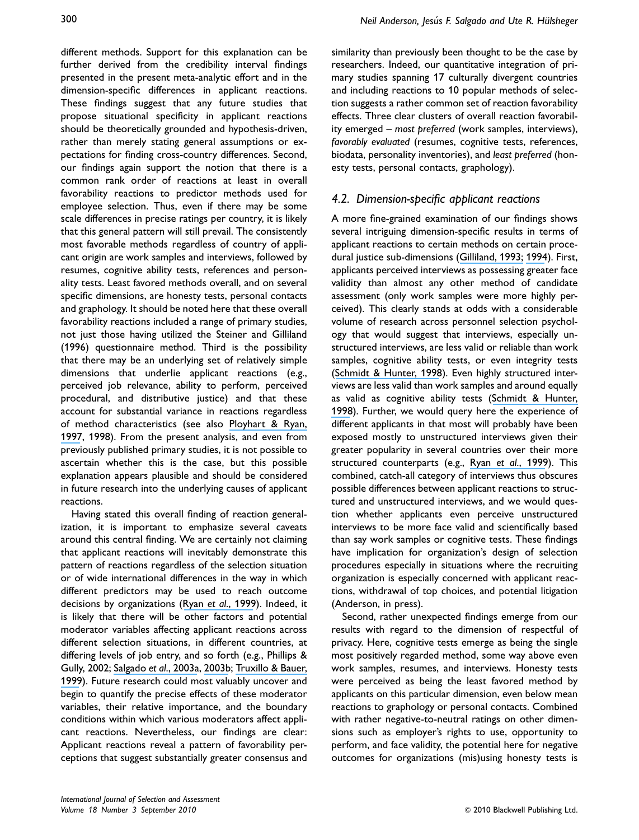different methods. Support for this explanation can be further derived from the credibility interval findings presented in the present meta-analytic effort and in the dimension-specific differences in applicant reactions. These findings suggest that any future studies that propose situational specificity in applicant reactions should be theoretically grounded and hypothesis-driven, rather than merely stating general assumptions or expectations for finding cross-country differences. Second, our findings again support the notion that there is a common rank order of reactions at least in overall favorability reactions to predictor methods used for employee selection. Thus, even if there may be some scale differences in precise ratings per country, it is likely that this general pattern will still prevail. The consistently most favorable methods regardless of country of applicant origin are work samples and interviews, followed by resumes, cognitive ability tests, references and personality tests. Least favored methods overall, and on several specific dimensions, are honesty tests, personal contacts and graphology. It should be noted here that these overall favorability reactions included a range of primary studies, not just those having utilized the Steiner and Gilliland (1996) questionnaire method. Third is the possibility that there may be an underlying set of relatively simple dimensions that underlie applicant reactions (e.g., perceived job relevance, ability to perform, perceived procedural, and distributive justice) and that these account for substantial variance in reactions regardless of method characteristics (see also [Ployhart & Ryan,](https://www.researchgate.net/publication/223104633_Toward_an_Explanation_of_Applicant_Reactions_An_Examination_of_Organizational_Justice_and_Attribution_Frameworks?el=1_x_8&enrichId=rgreq-7b1d9e1b-cf89-44a1-973a-8d50716e7921&enrichSource=Y292ZXJQYWdlOzIyODI1Mzk2ODtBUzo5ODU5OTkyOTEyMjgzOUAxNDAwNTE5NDYzODcw) [1997](https://www.researchgate.net/publication/223104633_Toward_an_Explanation_of_Applicant_Reactions_An_Examination_of_Organizational_Justice_and_Attribution_Frameworks?el=1_x_8&enrichId=rgreq-7b1d9e1b-cf89-44a1-973a-8d50716e7921&enrichSource=Y292ZXJQYWdlOzIyODI1Mzk2ODtBUzo5ODU5OTkyOTEyMjgzOUAxNDAwNTE5NDYzODcw), 1998). From the present analysis, and even from previously published primary studies, it is not possible to ascertain whether this is the case, but this possible explanation appears plausible and should be considered in future research into the underlying causes of applicant reactions.

Having stated this overall finding of reaction generalization, it is important to emphasize several caveats around this central finding. We are certainly not claiming that applicant reactions will inevitably demonstrate this pattern of reactions regardless of the selection situation or of wide international differences in the way in which different predictors may be used to reach outcome decisions by organizations (Ryan et al[., 1999](https://www.researchgate.net/publication/279673268_An_international_look_at_selection_practices_Nation_and_culture_as_explanations_for_variability_in_practice?el=1_x_8&enrichId=rgreq-7b1d9e1b-cf89-44a1-973a-8d50716e7921&enrichSource=Y292ZXJQYWdlOzIyODI1Mzk2ODtBUzo5ODU5OTkyOTEyMjgzOUAxNDAwNTE5NDYzODcw)). Indeed, it is likely that there will be other factors and potential moderator variables affecting applicant reactions across different selection situations, in different countries, at differing levels of job entry, and so forth (e.g., Phillips & Gully, 2002; [Salgado](https://www.researchgate.net/publication/294292237_International_validity_generalization_of_GMA_and_cognitive_abilities_A_European_community_meta-analysis?el=1_x_8&enrichId=rgreq-7b1d9e1b-cf89-44a1-973a-8d50716e7921&enrichSource=Y292ZXJQYWdlOzIyODI1Mzk2ODtBUzo5ODU5OTkyOTEyMjgzOUAxNDAwNTE5NDYzODcw) et al., 2003a, [2003b](https://www.researchgate.net/publication/289964229_A_meta-analytic_study_of_general_mental_ability_validity_for_different_occupations_in_the_European_Community?el=1_x_8&enrichId=rgreq-7b1d9e1b-cf89-44a1-973a-8d50716e7921&enrichSource=Y292ZXJQYWdlOzIyODI1Mzk2ODtBUzo5ODU5OTkyOTEyMjgzOUAxNDAwNTE5NDYzODcw); [Truxillo & Bauer,](https://www.researchgate.net/publication/12919541_Applicant_Reactions_to_Test_Score_Banding_in_Entry-Level_and_Promotional_Contexts?el=1_x_8&enrichId=rgreq-7b1d9e1b-cf89-44a1-973a-8d50716e7921&enrichSource=Y292ZXJQYWdlOzIyODI1Mzk2ODtBUzo5ODU5OTkyOTEyMjgzOUAxNDAwNTE5NDYzODcw) [1999](https://www.researchgate.net/publication/12919541_Applicant_Reactions_to_Test_Score_Banding_in_Entry-Level_and_Promotional_Contexts?el=1_x_8&enrichId=rgreq-7b1d9e1b-cf89-44a1-973a-8d50716e7921&enrichSource=Y292ZXJQYWdlOzIyODI1Mzk2ODtBUzo5ODU5OTkyOTEyMjgzOUAxNDAwNTE5NDYzODcw)). Future research could most valuably uncover and begin to quantify the precise effects of these moderator variables, their relative importance, and the boundary conditions within which various moderators affect applicant reactions. Nevertheless, our findings are clear: Applicant reactions reveal a pattern of favorability perceptions that suggest substantially greater consensus and similarity than previously been thought to be the case by researchers. Indeed, our quantitative integration of primary studies spanning 17 culturally divergent countries and including reactions to 10 popular methods of selection suggests a rather common set of reaction favorability effects. Three clear clusters of overall reaction favorability emerged – most preferred (work samples, interviews), favorably evaluated (resumes, cognitive tests, references, biodata, personality inventories), and least preferred (honesty tests, personal contacts, graphology).

# 4.2. Dimension-specific applicant reactions

A more fine-grained examination of our findings shows several intriguing dimension-specific results in terms of applicant reactions to certain methods on certain procedural justice sub-dimensions ([Gilliland, 1993;](https://www.researchgate.net/publication/35305194_The_Perceived_Fairness_of_Selection_Systems_An_Organizational_Justice_Perspective?el=1_x_8&enrichId=rgreq-7b1d9e1b-cf89-44a1-973a-8d50716e7921&enrichSource=Y292ZXJQYWdlOzIyODI1Mzk2ODtBUzo5ODU5OTkyOTEyMjgzOUAxNDAwNTE5NDYzODcw) [1994](https://www.researchgate.net/publication/228079370_Effects_of_Procedural_Justice_and_Distributive_Justice_on_Reactions_to_a_Selection_System?el=1_x_8&enrichId=rgreq-7b1d9e1b-cf89-44a1-973a-8d50716e7921&enrichSource=Y292ZXJQYWdlOzIyODI1Mzk2ODtBUzo5ODU5OTkyOTEyMjgzOUAxNDAwNTE5NDYzODcw)). First, applicants perceived interviews as possessing greater face validity than almost any other method of candidate assessment (only work samples were more highly perceived). This clearly stands at odds with a considerable volume of research across personnel selection psychology that would suggest that interviews, especially unstructured interviews, are less valid or reliable than work samples, cognitive ability tests, or even integrity tests ([Schmidt & Hunter, 1998](https://www.researchgate.net/publication/283803351_The_Validity_and_Utility_of_Selection_Methods_in_Personnel_Psychology_Practical_and_Theoretical_Implications_of_85_Years_of_Research_Findings?el=1_x_8&enrichId=rgreq-7b1d9e1b-cf89-44a1-973a-8d50716e7921&enrichSource=Y292ZXJQYWdlOzIyODI1Mzk2ODtBUzo5ODU5OTkyOTEyMjgzOUAxNDAwNTE5NDYzODcw)). Even highly structured interviews are less valid than work samples and around equally as valid as cognitive ability tests ([Schmidt & Hunter,](https://www.researchgate.net/publication/283803351_The_Validity_and_Utility_of_Selection_Methods_in_Personnel_Psychology_Practical_and_Theoretical_Implications_of_85_Years_of_Research_Findings?el=1_x_8&enrichId=rgreq-7b1d9e1b-cf89-44a1-973a-8d50716e7921&enrichSource=Y292ZXJQYWdlOzIyODI1Mzk2ODtBUzo5ODU5OTkyOTEyMjgzOUAxNDAwNTE5NDYzODcw) [1998](https://www.researchgate.net/publication/283803351_The_Validity_and_Utility_of_Selection_Methods_in_Personnel_Psychology_Practical_and_Theoretical_Implications_of_85_Years_of_Research_Findings?el=1_x_8&enrichId=rgreq-7b1d9e1b-cf89-44a1-973a-8d50716e7921&enrichSource=Y292ZXJQYWdlOzIyODI1Mzk2ODtBUzo5ODU5OTkyOTEyMjgzOUAxNDAwNTE5NDYzODcw)). Further, we would query here the experience of different applicants in that most will probably have been exposed mostly to unstructured interviews given their greater popularity in several countries over their more structured counterparts (e.g., Ryan et al[., 1999](https://www.researchgate.net/publication/279673268_An_international_look_at_selection_practices_Nation_and_culture_as_explanations_for_variability_in_practice?el=1_x_8&enrichId=rgreq-7b1d9e1b-cf89-44a1-973a-8d50716e7921&enrichSource=Y292ZXJQYWdlOzIyODI1Mzk2ODtBUzo5ODU5OTkyOTEyMjgzOUAxNDAwNTE5NDYzODcw)). This combined, catch-all category of interviews thus obscures possible differences between applicant reactions to structured and unstructured interviews, and we would question whether applicants even perceive unstructured interviews to be more face valid and scientifically based than say work samples or cognitive tests. These findings have implication for organization's design of selection procedures especially in situations where the recruiting organization is especially concerned with applicant reactions, withdrawal of top choices, and potential litigation (Anderson, in press).

Second, rather unexpected findings emerge from our results with regard to the dimension of respectful of privacy. Here, cognitive tests emerge as being the single most positively regarded method, some way above even work samples, resumes, and interviews. Honesty tests were perceived as being the least favored method by applicants on this particular dimension, even below mean reactions to graphology or personal contacts. Combined with rather negative-to-neutral ratings on other dimensions such as employer's rights to use, opportunity to perform, and face validity, the potential here for negative outcomes for organizations (mis)using honesty tests is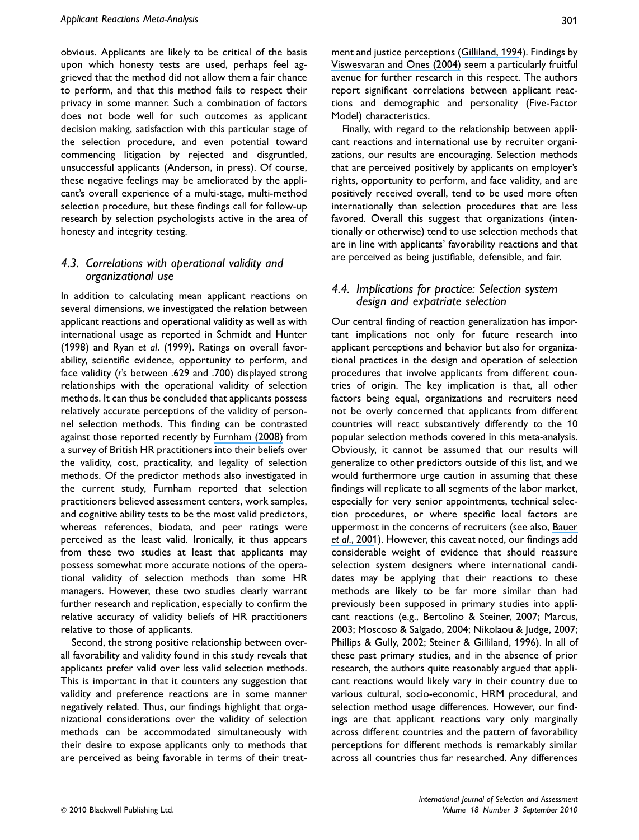obvious. Applicants are likely to be critical of the basis upon which honesty tests are used, perhaps feel aggrieved that the method did not allow them a fair chance to perform, and that this method fails to respect their privacy in some manner. Such a combination of factors does not bode well for such outcomes as applicant decision making, satisfaction with this particular stage of the selection procedure, and even potential toward commencing litigation by rejected and disgruntled, unsuccessful applicants (Anderson, in press). Of course, these negative feelings may be ameliorated by the applicant's overall experience of a multi-stage, multi-method selection procedure, but these findings call for follow-up research by selection psychologists active in the area of honesty and integrity testing.

## 4.3. Correlations with operational validity and organizational use

In addition to calculating mean applicant reactions on several dimensions, we investigated the relation between applicant reactions and operational validity as well as with international usage as reported in Schmidt and Hunter (1998) and Ryan et al. (1999). Ratings on overall favorability, scientific evidence, opportunity to perform, and face validity (r's between .629 and .700) displayed strong relationships with the operational validity of selection methods. It can thus be concluded that applicants possess relatively accurate perceptions of the validity of personnel selection methods. This finding can be contrasted against those reported recently by [Furnham \(2008\)](https://www.researchgate.net/publication/227665397_HR_Professionals) from a survey of British HR practitioners into their beliefs over the validity, cost, practicality, and legality of selection methods. Of the predictor methods also investigated in the current study, Furnham reported that selection practitioners believed assessment centers, work samples, and cognitive ability tests to be the most valid predictors, whereas references, biodata, and peer ratings were perceived as the least valid. Ironically, it thus appears from these two studies at least that applicants may possess somewhat more accurate notions of the operational validity of selection methods than some HR managers. However, these two studies clearly warrant further research and replication, especially to confirm the relative accuracy of validity beliefs of HR practitioners relative to those of applicants.

Second, the strong positive relationship between overall favorability and validity found in this study reveals that applicants prefer valid over less valid selection methods. This is important in that it counters any suggestion that validity and preference reactions are in some manner negatively related. Thus, our findings highlight that organizational considerations over the validity of selection methods can be accommodated simultaneously with their desire to expose applicants only to methods that are perceived as being favorable in terms of their treat-

ment and justice perceptions ([Gilliland, 1994](https://www.researchgate.net/publication/228079370_Effects_of_Procedural_Justice_and_Distributive_Justice_on_Reactions_to_a_Selection_System?el=1_x_8&enrichId=rgreq-7b1d9e1b-cf89-44a1-973a-8d50716e7921&enrichSource=Y292ZXJQYWdlOzIyODI1Mzk2ODtBUzo5ODU5OTkyOTEyMjgzOUAxNDAwNTE5NDYzODcw)). Findings by [Viswesvaran and Ones \(2004\)](https://www.researchgate.net/publication/227873560_Importance_of_Perceived_Personnel_Selection_System_Fairness_Determinants_Relations_with_Demographic_Personality_and_Job_Characteristics?el=1_x_8&enrichId=rgreq-7b1d9e1b-cf89-44a1-973a-8d50716e7921&enrichSource=Y292ZXJQYWdlOzIyODI1Mzk2ODtBUzo5ODU5OTkyOTEyMjgzOUAxNDAwNTE5NDYzODcw) seem a particularly fruitful avenue for further research in this respect. The authors report significant correlations between applicant reactions and demographic and personality (Five-Factor Model) characteristics.

Finally, with regard to the relationship between applicant reactions and international use by recruiter organizations, our results are encouraging. Selection methods that are perceived positively by applicants on employer's rights, opportunity to perform, and face validity, and are positively received overall, tend to be used more often internationally than selection procedures that are less favored. Overall this suggest that organizations (intentionally or otherwise) tend to use selection methods that are in line with applicants' favorability reactions and that are perceived as being justifiable, defensible, and fair.

## 4.4. Implications for practice: Selection system design and expatriate selection

Our central finding of reaction generalization has important implications not only for future research into applicant perceptions and behavior but also for organizational practices in the design and operation of selection procedures that involve applicants from different countries of origin. The key implication is that, all other factors being equal, organizations and recruiters need not be overly concerned that applicants from different countries will react substantively differently to the 10 popular selection methods covered in this meta-analysis. Obviously, it cannot be assumed that our results will generalize to other predictors outside of this list, and we would furthermore urge caution in assuming that these findings will replicate to all segments of the labor market, especially for very senior appointments, technical selection procedures, or where specific local factors are uppermost in the concerns of recruiters (see also, [Bauer](https://www.researchgate.net/publication/294687158_Applicant_reactions_to_selection_Development_of_the_selection_procedural_scale_SPJS?el=1_x_8&enrichId=rgreq-7b1d9e1b-cf89-44a1-973a-8d50716e7921&enrichSource=Y292ZXJQYWdlOzIyODI1Mzk2ODtBUzo5ODU5OTkyOTEyMjgzOUAxNDAwNTE5NDYzODcw) et al[., 2001](https://www.researchgate.net/publication/294687158_Applicant_reactions_to_selection_Development_of_the_selection_procedural_scale_SPJS?el=1_x_8&enrichId=rgreq-7b1d9e1b-cf89-44a1-973a-8d50716e7921&enrichSource=Y292ZXJQYWdlOzIyODI1Mzk2ODtBUzo5ODU5OTkyOTEyMjgzOUAxNDAwNTE5NDYzODcw)). However, this caveat noted, our findings add considerable weight of evidence that should reassure selection system designers where international candidates may be applying that their reactions to these methods are likely to be far more similar than had previously been supposed in primary studies into applicant reactions (e.g., Bertolino & Steiner, 2007; Marcus, 2003; Moscoso & Salgado, 2004; Nikolaou & Judge, 2007; Phillips & Gully, 2002; Steiner & Gilliland, 1996). In all of these past primary studies, and in the absence of prior research, the authors quite reasonably argued that applicant reactions would likely vary in their country due to various cultural, socio-economic, HRM procedural, and selection method usage differences. However, our findings are that applicant reactions vary only marginally across different countries and the pattern of favorability perceptions for different methods is remarkably similar across all countries thus far researched. Any differences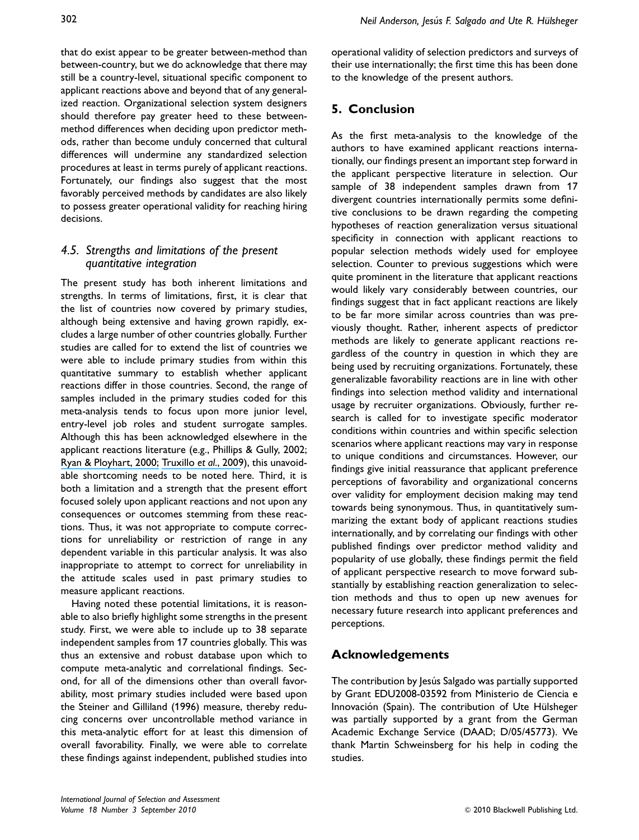that do exist appear to be greater between-method than between-country, but we do acknowledge that there may still be a country-level, situational specific component to applicant reactions above and beyond that of any generalized reaction. Organizational selection system designers should therefore pay greater heed to these betweenmethod differences when deciding upon predictor methods, rather than become unduly concerned that cultural differences will undermine any standardized selection procedures at least in terms purely of applicant reactions. Fortunately, our findings also suggest that the most favorably perceived methods by candidates are also likely to possess greater operational validity for reaching hiring decisions.

## 4.5. Strengths and limitations of the present quantitative integration

The present study has both inherent limitations and strengths. In terms of limitations, first, it is clear that the list of countries now covered by primary studies, although being extensive and having grown rapidly, excludes a large number of other countries globally. Further studies are called for to extend the list of countries we were able to include primary studies from within this quantitative summary to establish whether applicant reactions differ in those countries. Second, the range of samples included in the primary studies coded for this meta-analysis tends to focus upon more junior level, entry-level job roles and student surrogate samples. Although this has been acknowledged elsewhere in the applicant reactions literature (e.g., Phillips & Gully, 2002; [Ryan & Ployhart, 2000;](https://www.researchgate.net/publication/247569997_Applicants) [Truxillo](https://www.researchgate.net/publication/228253937_Effects_of_Explanations_on_Applicant_Reactions_A_Meta-Analytic_Review?el=1_x_8&enrichId=rgreq-7b1d9e1b-cf89-44a1-973a-8d50716e7921&enrichSource=Y292ZXJQYWdlOzIyODI1Mzk2ODtBUzo5ODU5OTkyOTEyMjgzOUAxNDAwNTE5NDYzODcw) et al., 2009), this unavoidable shortcoming needs to be noted here. Third, it is both a limitation and a strength that the present effort focused solely upon applicant reactions and not upon any consequences or outcomes stemming from these reactions. Thus, it was not appropriate to compute corrections for unreliability or restriction of range in any dependent variable in this particular analysis. It was also inappropriate to attempt to correct for unreliability in the attitude scales used in past primary studies to measure applicant reactions.

Having noted these potential limitations, it is reasonable to also briefly highlight some strengths in the present study. First, we were able to include up to 38 separate independent samples from 17 countries globally. This was thus an extensive and robust database upon which to compute meta-analytic and correlational findings. Second, for all of the dimensions other than overall favorability, most primary studies included were based upon the Steiner and Gilliland (1996) measure, thereby reducing concerns over uncontrollable method variance in this meta-analytic effort for at least this dimension of overall favorability. Finally, we were able to correlate these findings against independent, published studies into operational validity of selection predictors and surveys of their use internationally; the first time this has been done to the knowledge of the present authors.

# 5. Conclusion

As the first meta-analysis to the knowledge of the authors to have examined applicant reactions internationally, our findings present an important step forward in the applicant perspective literature in selection. Our sample of 38 independent samples drawn from 17 divergent countries internationally permits some definitive conclusions to be drawn regarding the competing hypotheses of reaction generalization versus situational specificity in connection with applicant reactions to popular selection methods widely used for employee selection. Counter to previous suggestions which were quite prominent in the literature that applicant reactions would likely vary considerably between countries, our findings suggest that in fact applicant reactions are likely to be far more similar across countries than was previously thought. Rather, inherent aspects of predictor methods are likely to generate applicant reactions regardless of the country in question in which they are being used by recruiting organizations. Fortunately, these generalizable favorability reactions are in line with other findings into selection method validity and international usage by recruiter organizations. Obviously, further research is called for to investigate specific moderator conditions within countries and within specific selection scenarios where applicant reactions may vary in response to unique conditions and circumstances. However, our findings give initial reassurance that applicant preference perceptions of favorability and organizational concerns over validity for employment decision making may tend towards being synonymous. Thus, in quantitatively summarizing the extant body of applicant reactions studies internationally, and by correlating our findings with other published findings over predictor method validity and popularity of use globally, these findings permit the field of applicant perspective research to move forward substantially by establishing reaction generalization to selection methods and thus to open up new avenues for necessary future research into applicant preferences and perceptions.

# Acknowledgements

The contribution by Jesús Salgado was partially supported by Grant EDU2008-03592 from Ministerio de Ciencia e Innovación (Spain). The contribution of Ute Hülsheger was partially supported by a grant from the German Academic Exchange Service (DAAD; D/05/45773). We thank Martin Schweinsberg for his help in coding the studies.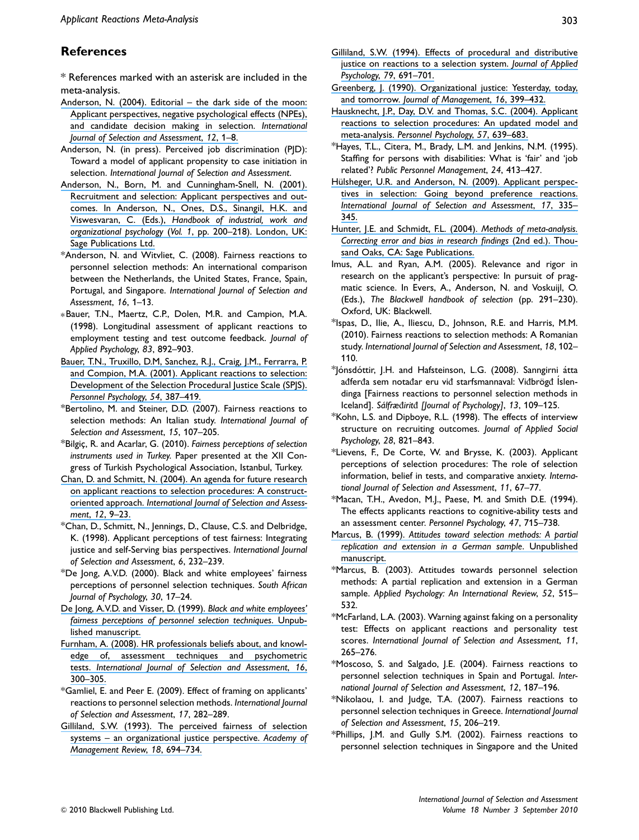# **References**

\* References marked with an asterisk are included in the meta-analysis.

- [Anderson, N. \(2004\). Editorial the dark side of the moon:](https://www.researchgate.net/publication/228254195_Editorial_-_The_Dark_Side_of_the_Moon_Applicant_Perspectives_Negative_Psychological_Effects_NPEs_and_Candidate_Decision_Making_in_Selection?el=1_x_8&enrichId=rgreq-7b1d9e1b-cf89-44a1-973a-8d50716e7921&enrichSource=Y292ZXJQYWdlOzIyODI1Mzk2ODtBUzo5ODU5OTkyOTEyMjgzOUAxNDAwNTE5NDYzODcw) [Applicant perspectives, negative psychological effects \(NPEs\),](https://www.researchgate.net/publication/228254195_Editorial_-_The_Dark_Side_of_the_Moon_Applicant_Perspectives_Negative_Psychological_Effects_NPEs_and_Candidate_Decision_Making_in_Selection?el=1_x_8&enrichId=rgreq-7b1d9e1b-cf89-44a1-973a-8d50716e7921&enrichSource=Y292ZXJQYWdlOzIyODI1Mzk2ODtBUzo5ODU5OTkyOTEyMjgzOUAxNDAwNTE5NDYzODcw) [and candidate decision making in selection.](https://www.researchgate.net/publication/228254195_Editorial_-_The_Dark_Side_of_the_Moon_Applicant_Perspectives_Negative_Psychological_Effects_NPEs_and_Candidate_Decision_Making_in_Selection?el=1_x_8&enrichId=rgreq-7b1d9e1b-cf89-44a1-973a-8d50716e7921&enrichSource=Y292ZXJQYWdlOzIyODI1Mzk2ODtBUzo5ODU5OTkyOTEyMjgzOUAxNDAwNTE5NDYzODcw) International [Journal of Selection and Assessment](https://www.researchgate.net/publication/228254195_Editorial_-_The_Dark_Side_of_the_Moon_Applicant_Perspectives_Negative_Psychological_Effects_NPEs_and_Candidate_Decision_Making_in_Selection?el=1_x_8&enrichId=rgreq-7b1d9e1b-cf89-44a1-973a-8d50716e7921&enrichSource=Y292ZXJQYWdlOzIyODI1Mzk2ODtBUzo5ODU5OTkyOTEyMjgzOUAxNDAwNTE5NDYzODcw), 12, 1–8.
- Anderson, N. (in press). Perceived job discrimination (PJD): Toward a model of applicant propensity to case initiation in selection. International Journal of Selection and Assessment.
- [Anderson, N., Born, M. and Cunningham-Snell, N. \(2001\).](https://www.researchgate.net/publication/232430958_Recruitment_and_selection_Applicant_perspectives_and_outcomes?el=1_x_8&enrichId=rgreq-7b1d9e1b-cf89-44a1-973a-8d50716e7921&enrichSource=Y292ZXJQYWdlOzIyODI1Mzk2ODtBUzo5ODU5OTkyOTEyMjgzOUAxNDAwNTE5NDYzODcw) [Recruitment and selection: Applicant perspectives and out](https://www.researchgate.net/publication/232430958_Recruitment_and_selection_Applicant_perspectives_and_outcomes?el=1_x_8&enrichId=rgreq-7b1d9e1b-cf89-44a1-973a-8d50716e7921&enrichSource=Y292ZXJQYWdlOzIyODI1Mzk2ODtBUzo5ODU5OTkyOTEyMjgzOUAxNDAwNTE5NDYzODcw)[comes. In Anderson, N., Ones, D.S., Sinangil, H.K. and](https://www.researchgate.net/publication/232430958_Recruitment_and_selection_Applicant_perspectives_and_outcomes?el=1_x_8&enrichId=rgreq-7b1d9e1b-cf89-44a1-973a-8d50716e7921&enrichSource=Y292ZXJQYWdlOzIyODI1Mzk2ODtBUzo5ODU5OTkyOTEyMjgzOUAxNDAwNTE5NDYzODcw) Viswesvaran, C. (Eds.), [Handbook of industrial, work and](https://www.researchgate.net/publication/232430958_Recruitment_and_selection_Applicant_perspectives_and_outcomes?el=1_x_8&enrichId=rgreq-7b1d9e1b-cf89-44a1-973a-8d50716e7921&enrichSource=Y292ZXJQYWdlOzIyODI1Mzk2ODtBUzo5ODU5OTkyOTEyMjgzOUAxNDAwNTE5NDYzODcw) organizational psychology (Vol. 1[, pp. 200–218\). London, UK:](https://www.researchgate.net/publication/232430958_Recruitment_and_selection_Applicant_perspectives_and_outcomes?el=1_x_8&enrichId=rgreq-7b1d9e1b-cf89-44a1-973a-8d50716e7921&enrichSource=Y292ZXJQYWdlOzIyODI1Mzk2ODtBUzo5ODU5OTkyOTEyMjgzOUAxNDAwNTE5NDYzODcw) [Sage Publications Ltd.](https://www.researchgate.net/publication/232430958_Recruitment_and_selection_Applicant_perspectives_and_outcomes?el=1_x_8&enrichId=rgreq-7b1d9e1b-cf89-44a1-973a-8d50716e7921&enrichSource=Y292ZXJQYWdlOzIyODI1Mzk2ODtBUzo5ODU5OTkyOTEyMjgzOUAxNDAwNTE5NDYzODcw)
- \*Anderson, N. and Witvliet, C. (2008). Fairness reactions to personnel selection methods: An international comparison between the Netherlands, the United States, France, Spain, Portugal, and Singapore. International Journal of Selection and Assessment, 16, 1–13.
- \*Bauer, T.N., Maertz, C.P., Dolen, M.R. and Campion, M.A. (1998). Longitudinal assessment of applicant reactions to employment testing and test outcome feedback. Journal of Applied Psychology, 83, 892–903.
- [Bauer, T.N., Truxillo, D.M, Sanchez, R.J., Craig, J.M., Ferrarra, P.](https://www.researchgate.net/publication/294687158_Applicant_reactions_to_selection_Development_of_the_selection_procedural_scale_SPJS?el=1_x_8&enrichId=rgreq-7b1d9e1b-cf89-44a1-973a-8d50716e7921&enrichSource=Y292ZXJQYWdlOzIyODI1Mzk2ODtBUzo5ODU5OTkyOTEyMjgzOUAxNDAwNTE5NDYzODcw) [and Compion, M.A. \(2001\). Applicant reactions to selection:](https://www.researchgate.net/publication/294687158_Applicant_reactions_to_selection_Development_of_the_selection_procedural_scale_SPJS?el=1_x_8&enrichId=rgreq-7b1d9e1b-cf89-44a1-973a-8d50716e7921&enrichSource=Y292ZXJQYWdlOzIyODI1Mzk2ODtBUzo5ODU5OTkyOTEyMjgzOUAxNDAwNTE5NDYzODcw) [Development of the Selection Procedural Justice Scale \(SPJS\).](https://www.researchgate.net/publication/294687158_Applicant_reactions_to_selection_Development_of_the_selection_procedural_scale_SPJS?el=1_x_8&enrichId=rgreq-7b1d9e1b-cf89-44a1-973a-8d50716e7921&enrichSource=Y292ZXJQYWdlOzIyODI1Mzk2ODtBUzo5ODU5OTkyOTEyMjgzOUAxNDAwNTE5NDYzODcw) [Personnel Psychology](https://www.researchgate.net/publication/294687158_Applicant_reactions_to_selection_Development_of_the_selection_procedural_scale_SPJS?el=1_x_8&enrichId=rgreq-7b1d9e1b-cf89-44a1-973a-8d50716e7921&enrichSource=Y292ZXJQYWdlOzIyODI1Mzk2ODtBUzo5ODU5OTkyOTEyMjgzOUAxNDAwNTE5NDYzODcw), 54, 387–419.
- \*Bertolino, M. and Steiner, D.D. (2007). Fairness reactions to selection methods: An Italian study. International Journal of Selection and Assessment, 15, 107–205.
- \*Bilgic¸, R. and Acarlar, G. (2010). Fairness perceptions of selection instruments used in Turkey. Paper presented at the XII Congress of Turkish Psychological Association, Istanbul, Turkey.
- [Chan, D. and Schmitt, N. \(2004\). An agenda for future research](https://www.researchgate.net/publication/228254185_An_Agenda_for_Future_Research_on_Applicant_Reactions_to_Selection_Procedures_A_Construct-Oriented_Approach?el=1_x_8&enrichId=rgreq-7b1d9e1b-cf89-44a1-973a-8d50716e7921&enrichSource=Y292ZXJQYWdlOzIyODI1Mzk2ODtBUzo5ODU5OTkyOTEyMjgzOUAxNDAwNTE5NDYzODcw) [on applicant reactions to selection procedures: A construct](https://www.researchgate.net/publication/228254185_An_Agenda_for_Future_Research_on_Applicant_Reactions_to_Selection_Procedures_A_Construct-Oriented_Approach?el=1_x_8&enrichId=rgreq-7b1d9e1b-cf89-44a1-973a-8d50716e7921&enrichSource=Y292ZXJQYWdlOzIyODI1Mzk2ODtBUzo5ODU5OTkyOTEyMjgzOUAxNDAwNTE5NDYzODcw)oriented approach. [International Journal of Selection and Assess](https://www.researchgate.net/publication/228254185_An_Agenda_for_Future_Research_on_Applicant_Reactions_to_Selection_Procedures_A_Construct-Oriented_Approach?el=1_x_8&enrichId=rgreq-7b1d9e1b-cf89-44a1-973a-8d50716e7921&enrichSource=Y292ZXJQYWdlOzIyODI1Mzk2ODtBUzo5ODU5OTkyOTEyMjgzOUAxNDAwNTE5NDYzODcw)ment, 12[, 9–23.](https://www.researchgate.net/publication/228254185_An_Agenda_for_Future_Research_on_Applicant_Reactions_to_Selection_Procedures_A_Construct-Oriented_Approach?el=1_x_8&enrichId=rgreq-7b1d9e1b-cf89-44a1-973a-8d50716e7921&enrichSource=Y292ZXJQYWdlOzIyODI1Mzk2ODtBUzo5ODU5OTkyOTEyMjgzOUAxNDAwNTE5NDYzODcw)
- \*Chan, D., Schmitt, N., Jennings, D., Clause, C.S. and Delbridge, K. (1998). Applicant perceptions of test fairness: Integrating justice and self-Serving bias perspectives. International Journal of Selection and Assessment, 6, 232–239.
- \*De Jong, A.V.D. (2000). Black and white employees' fairness perceptions of personnel selection techniques. South African Journal of Psychology, 30, 17–24.
- [De Jong, A.V.D. and Visser, D. \(1999\).](https://www.researchgate.net/publication/258184959_Black_and_White_Employees) Black and white employees' [fairness perceptions of personnel selection techniques](https://www.researchgate.net/publication/258184959_Black_and_White_Employees). Unpub[lished manuscript.](https://www.researchgate.net/publication/258184959_Black_and_White_Employees)
- [Furnham, A. \(2008\). HR professionals beliefs about, and knowl](https://www.researchgate.net/publication/227665397_HR_Professionals)[edge of, assessment techniques and psychometric](https://www.researchgate.net/publication/227665397_HR_Professionals) tests. [International Journal of Selection and Assessment](https://www.researchgate.net/publication/227665397_HR_Professionals), 16, [300–305.](https://www.researchgate.net/publication/227665397_HR_Professionals)
- \*Gamliel, E. and Peer E. (2009). Effect of framing on applicants' reactions to personnel selection methods. International Journal of Selection and Assessment, 17, 282–289.
- [Gilliland, S.W. \(1993\). The perceived fairness of selection](https://www.researchgate.net/publication/35305194_The_Perceived_Fairness_of_Selection_Systems_An_Organizational_Justice_Perspective?el=1_x_8&enrichId=rgreq-7b1d9e1b-cf89-44a1-973a-8d50716e7921&enrichSource=Y292ZXJQYWdlOzIyODI1Mzk2ODtBUzo5ODU5OTkyOTEyMjgzOUAxNDAwNTE5NDYzODcw) [systems – an organizational justice perspective.](https://www.researchgate.net/publication/35305194_The_Perceived_Fairness_of_Selection_Systems_An_Organizational_Justice_Perspective?el=1_x_8&enrichId=rgreq-7b1d9e1b-cf89-44a1-973a-8d50716e7921&enrichSource=Y292ZXJQYWdlOzIyODI1Mzk2ODtBUzo5ODU5OTkyOTEyMjgzOUAxNDAwNTE5NDYzODcw) Academy of [Management Review](https://www.researchgate.net/publication/35305194_The_Perceived_Fairness_of_Selection_Systems_An_Organizational_Justice_Perspective?el=1_x_8&enrichId=rgreq-7b1d9e1b-cf89-44a1-973a-8d50716e7921&enrichSource=Y292ZXJQYWdlOzIyODI1Mzk2ODtBUzo5ODU5OTkyOTEyMjgzOUAxNDAwNTE5NDYzODcw), 18, 694–734.
- [Gilliland, S.W. \(1994\). Effects of procedural and distributive](https://www.researchgate.net/publication/228079370_Effects_of_Procedural_Justice_and_Distributive_Justice_on_Reactions_to_a_Selection_System?el=1_x_8&enrichId=rgreq-7b1d9e1b-cf89-44a1-973a-8d50716e7921&enrichSource=Y292ZXJQYWdlOzIyODI1Mzk2ODtBUzo5ODU5OTkyOTEyMjgzOUAxNDAwNTE5NDYzODcw) [justice on reactions to a selection system.](https://www.researchgate.net/publication/228079370_Effects_of_Procedural_Justice_and_Distributive_Justice_on_Reactions_to_a_Selection_System?el=1_x_8&enrichId=rgreq-7b1d9e1b-cf89-44a1-973a-8d50716e7921&enrichSource=Y292ZXJQYWdlOzIyODI1Mzk2ODtBUzo5ODU5OTkyOTEyMjgzOUAxNDAwNTE5NDYzODcw) Journal of Applied Psychology, 79[, 691–701.](https://www.researchgate.net/publication/228079370_Effects_of_Procedural_Justice_and_Distributive_Justice_on_Reactions_to_a_Selection_System?el=1_x_8&enrichId=rgreq-7b1d9e1b-cf89-44a1-973a-8d50716e7921&enrichSource=Y292ZXJQYWdlOzIyODI1Mzk2ODtBUzo5ODU5OTkyOTEyMjgzOUAxNDAwNTE5NDYzODcw)
- [Greenberg, J. \(1990\). Organizational justice: Yesterday, today,](https://www.researchgate.net/publication/247569816_Organizational_Justice_Yesterday_Today_and_Tomorrow?el=1_x_8&enrichId=rgreq-7b1d9e1b-cf89-44a1-973a-8d50716e7921&enrichSource=Y292ZXJQYWdlOzIyODI1Mzk2ODtBUzo5ODU5OTkyOTEyMjgzOUAxNDAwNTE5NDYzODcw) and tomorrow. [Journal of Management](https://www.researchgate.net/publication/247569816_Organizational_Justice_Yesterday_Today_and_Tomorrow?el=1_x_8&enrichId=rgreq-7b1d9e1b-cf89-44a1-973a-8d50716e7921&enrichSource=Y292ZXJQYWdlOzIyODI1Mzk2ODtBUzo5ODU5OTkyOTEyMjgzOUAxNDAwNTE5NDYzODcw), 16, 399–432.
- [Hausknecht, J.P., Day, D.V. and Thomas, S.C. \(2004\). Applicant](https://www.researchgate.net/publication/37150348_Applicant_Reactions_to_Selection_Procedures_An_Updated_Model_and_Meta-Analysis?el=1_x_8&enrichId=rgreq-7b1d9e1b-cf89-44a1-973a-8d50716e7921&enrichSource=Y292ZXJQYWdlOzIyODI1Mzk2ODtBUzo5ODU5OTkyOTEyMjgzOUAxNDAwNTE5NDYzODcw) [reactions to selection procedures: An updated model and](https://www.researchgate.net/publication/37150348_Applicant_Reactions_to_Selection_Procedures_An_Updated_Model_and_Meta-Analysis?el=1_x_8&enrichId=rgreq-7b1d9e1b-cf89-44a1-973a-8d50716e7921&enrichSource=Y292ZXJQYWdlOzIyODI1Mzk2ODtBUzo5ODU5OTkyOTEyMjgzOUAxNDAwNTE5NDYzODcw) meta-analysis. [Personnel Psychology](https://www.researchgate.net/publication/37150348_Applicant_Reactions_to_Selection_Procedures_An_Updated_Model_and_Meta-Analysis?el=1_x_8&enrichId=rgreq-7b1d9e1b-cf89-44a1-973a-8d50716e7921&enrichSource=Y292ZXJQYWdlOzIyODI1Mzk2ODtBUzo5ODU5OTkyOTEyMjgzOUAxNDAwNTE5NDYzODcw), 57, 639–683.
- \*Hayes, T.L., Citera, M., Brady, L.M. and Jenkins, N.M. (1995). Staffing for persons with disabilities: What is 'fair' and 'job related'? Public Personnel Management, 24, 413–427.
- Hülsheger, U.R. and Anderson, N. (2009). Applicant perspec[tives in selection: Going beyond preference reactions.](https://www.researchgate.net/publication/227937034_Applicant_Perspectives_in_Selection_Going_beyond_preference_reactions?el=1_x_8&enrichId=rgreq-7b1d9e1b-cf89-44a1-973a-8d50716e7921&enrichSource=Y292ZXJQYWdlOzIyODI1Mzk2ODtBUzo5ODU5OTkyOTEyMjgzOUAxNDAwNTE5NDYzODcw) [International Journal of Selection and Assessment](https://www.researchgate.net/publication/227937034_Applicant_Perspectives_in_Selection_Going_beyond_preference_reactions?el=1_x_8&enrichId=rgreq-7b1d9e1b-cf89-44a1-973a-8d50716e7921&enrichSource=Y292ZXJQYWdlOzIyODI1Mzk2ODtBUzo5ODU5OTkyOTEyMjgzOUAxNDAwNTE5NDYzODcw), 17, 335– [345.](https://www.researchgate.net/publication/227937034_Applicant_Perspectives_in_Selection_Going_beyond_preference_reactions?el=1_x_8&enrichId=rgreq-7b1d9e1b-cf89-44a1-973a-8d50716e7921&enrichSource=Y292ZXJQYWdlOzIyODI1Mzk2ODtBUzo5ODU5OTkyOTEyMjgzOUAxNDAwNTE5NDYzODcw)
- [Hunter, J.E. and Schmidt, F.L. \(2004\).](https://www.researchgate.net/publication/235726244_Methods_of_Meta-Analysis_Corrected_Error_and_Bias_in_Research_Findings?el=1_x_8&enrichId=rgreq-7b1d9e1b-cf89-44a1-973a-8d50716e7921&enrichSource=Y292ZXJQYWdlOzIyODI1Mzk2ODtBUzo5ODU5OTkyOTEyMjgzOUAxNDAwNTE5NDYzODcw) Methods of meta-analysis. [Correcting error and bias in research findings](https://www.researchgate.net/publication/235726244_Methods_of_Meta-Analysis_Corrected_Error_and_Bias_in_Research_Findings?el=1_x_8&enrichId=rgreq-7b1d9e1b-cf89-44a1-973a-8d50716e7921&enrichSource=Y292ZXJQYWdlOzIyODI1Mzk2ODtBUzo5ODU5OTkyOTEyMjgzOUAxNDAwNTE5NDYzODcw) (2nd ed.). Thou[sand Oaks, CA: Sage Publications.](https://www.researchgate.net/publication/235726244_Methods_of_Meta-Analysis_Corrected_Error_and_Bias_in_Research_Findings?el=1_x_8&enrichId=rgreq-7b1d9e1b-cf89-44a1-973a-8d50716e7921&enrichSource=Y292ZXJQYWdlOzIyODI1Mzk2ODtBUzo5ODU5OTkyOTEyMjgzOUAxNDAwNTE5NDYzODcw)
- Imus, A.L. and Ryan, A.M. (2005). Relevance and rigor in research on the applicant's perspective: In pursuit of pragmatic science. In Evers, A., Anderson, N. and Voskuijl, O. (Eds.), The Blackwell handbook of selection (pp. 291–230). Oxford, UK: Blackwell.
- \*Ispas, D., Ilie, A., Iliescu, D., Johnson, R.E. and Harris, M.M. (2010). Fairness reactions to selection methods: A Romanian study. International Journal of Selection and Assessment, 18, 102– 110.
- \*Jónsdóttir, J.H. and Hafsteinson, L.G. (2008). Sanngirni átta aðferða sem notaðar eru við starfsmannaval: Viðbrögð Íslendinga [Fairness reactions to personnel selection methods in Iceland]. Sálfræðiritð [Journal of Psychology], 13, 109-125.
- \*Kohn, L.S. and Dipboye, R.L. (1998). The effects of interview structure on recruiting outcomes. Journal of Applied Social Psychology, 28, 821–843.
- \*Lievens, F., De Corte, W. and Brysse, K. (2003). Applicant perceptions of selection procedures: The role of selection information, belief in tests, and comparative anxiety. International Journal of Selection and Assessment, 11, 67–77.
- \*Macan, T.H., Avedon, M.J., Paese, M. and Smith D.E. (1994). The effects applicants reactions to cognitive-ability tests and an assessment center. Personnel Psychology, 47, 715–738.
- Marcus, B. (1999). [Attitudes toward selection methods: A partial](https://www.researchgate.net/publication/229656366_Attitudes_Towards_Personnel_Selection_Methods_A_Partial_Replication_and_Extension_in_a_German_Sample?el=1_x_8&enrichId=rgreq-7b1d9e1b-cf89-44a1-973a-8d50716e7921&enrichSource=Y292ZXJQYWdlOzIyODI1Mzk2ODtBUzo5ODU5OTkyOTEyMjgzOUAxNDAwNTE5NDYzODcw) [replication and extension in a German sample](https://www.researchgate.net/publication/229656366_Attitudes_Towards_Personnel_Selection_Methods_A_Partial_Replication_and_Extension_in_a_German_Sample?el=1_x_8&enrichId=rgreq-7b1d9e1b-cf89-44a1-973a-8d50716e7921&enrichSource=Y292ZXJQYWdlOzIyODI1Mzk2ODtBUzo5ODU5OTkyOTEyMjgzOUAxNDAwNTE5NDYzODcw). Unpublished [manuscript.](https://www.researchgate.net/publication/229656366_Attitudes_Towards_Personnel_Selection_Methods_A_Partial_Replication_and_Extension_in_a_German_Sample?el=1_x_8&enrichId=rgreq-7b1d9e1b-cf89-44a1-973a-8d50716e7921&enrichSource=Y292ZXJQYWdlOzIyODI1Mzk2ODtBUzo5ODU5OTkyOTEyMjgzOUAxNDAwNTE5NDYzODcw)
- \*Marcus, B. (2003). Attitudes towards personnel selection methods: A partial replication and extension in a German sample. Applied Psychology: An International Review, 52, 515-532.
- \*McFarland, L.A. (2003). Warning against faking on a personality test: Effects on applicant reactions and personality test scores. International Journal of Selection and Assessment, 11, 265–276.
- \*Moscoso, S. and Salgado, J.E. (2004). Fairness reactions to personnel selection techniques in Spain and Portugal. International Journal of Selection and Assessment, 12, 187–196.
- \*Nikolaou, I. and Judge, T.A. (2007). Fairness reactions to personnel selection techniques in Greece. International Journal of Selection and Assessment, 15, 206–219.
- \*Phillips, J.M. and Gully S.M. (2002). Fairness reactions to personnel selection techniques in Singapore and the United